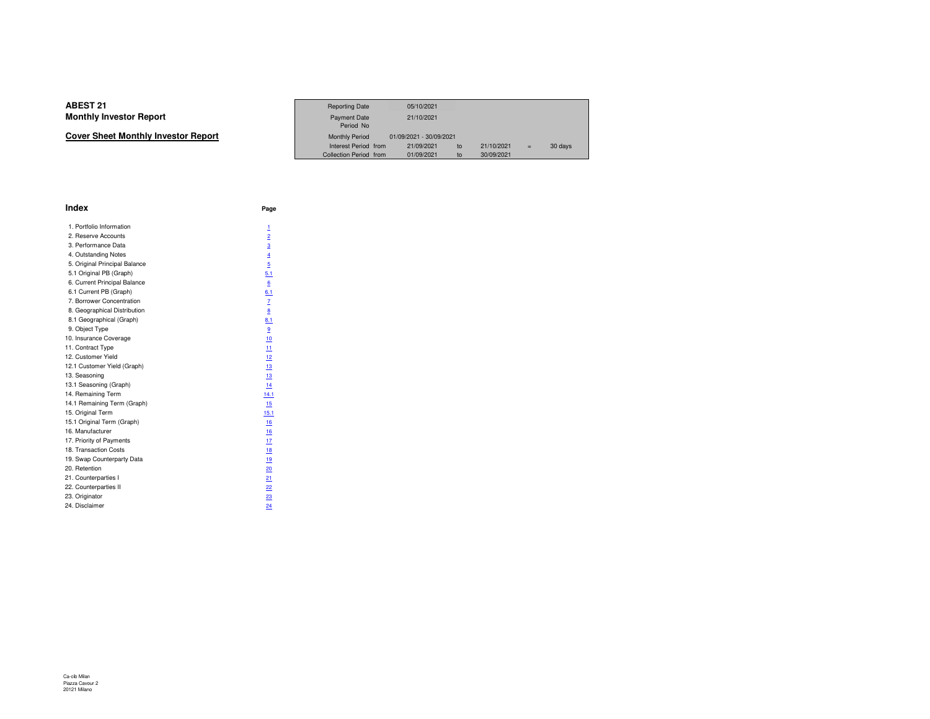| Cover Sheet Monthly Investor Report |
|-------------------------------------|
|-------------------------------------|

|                             | <b>Reporting Date</b>            | 05/10/2021              |            |     |         |
|-----------------------------|----------------------------------|-------------------------|------------|-----|---------|
| Investor Report             | <b>Payment Date</b><br>Period No | 21/10/2021              |            |     |         |
| eet Monthly Investor Report | <b>Monthly Period</b>            | 01/09/2021 - 30/09/2021 |            |     |         |
|                             | Interest Period from             | 21/09/2021<br>to        | 21/10/2021 | $=$ | 30 days |
|                             | Collection Period from           | 01/09/2021<br>to        | 30/09/2021 |     |         |

| <b>Index</b>                  | Page           |
|-------------------------------|----------------|
| 1. Portfolio Information      | 1              |
| 2. Reserve Accounts           | $\overline{2}$ |
| 3. Performance Data           | $\overline{3}$ |
| 4. Outstanding Notes          | $\overline{4}$ |
| 5. Original Principal Balance | $\overline{5}$ |
| 5.1 Original PB (Graph)       | 5.1            |
| 6. Current Principal Balance  | 6              |
| 6.1 Current PB (Graph)        | 6.1            |
| 7. Borrower Concentration     | z              |
| 8. Geographical Distribution  | 8              |
| 8.1 Geographical (Graph)      | 8.1            |
| 9. Object Type                | $\overline{9}$ |
| 10. Insurance Coverage        | 10             |
| 11. Contract Type             | 11             |
| 12. Customer Yield            | 12             |
| 12.1 Customer Yield (Graph)   | 13             |
| 13. Seasoning                 | 13             |
| 13.1 Seasoning (Graph)        | 14             |
| 14. Remaining Term            | 14.1           |
| 14.1 Remaining Term (Graph)   | 15             |
| 15. Original Term             | 15.1           |
| 15.1 Original Term (Graph)    | 16             |
| 16. Manufacturer              | 16             |
| 17. Priority of Payments      | 17             |
| 18. Transaction Costs         | <u>18</u>      |
| 19. Swap Counterparty Data    | 19             |
| 20. Retention                 | 20             |
| 21. Counterparties I          | 21             |
| 22. Counterparties II         | 22             |
| 23. Originator                | 23             |
| 24. Disclaimer                | 24             |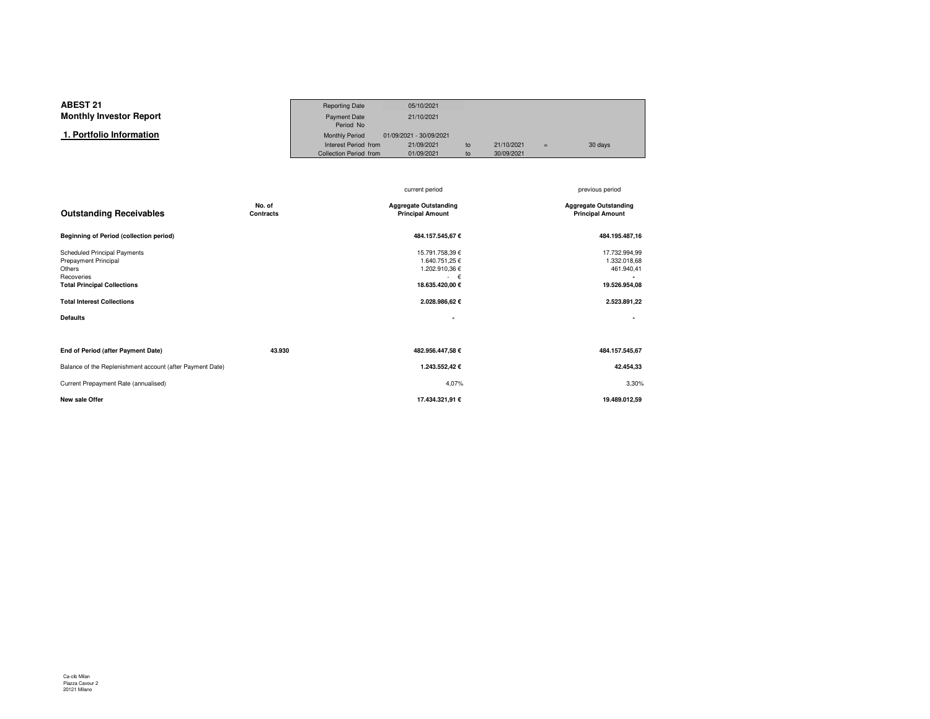#### **ABEST 21**Reporting Date 05/10/2021<br>Payment Date 21/10/2021 **Monthly Investor Report**Payment Date Period NoMonthly Period 01/09/2021 - 30/09/2021  **1. Portfolio Information**Interest Period from 21/09/2021 to 21/10/2021 = 30 days<br>Collection Period from 01/09/2021 to 30/09/2021 Collection Period from

|                                                                                                                                  |                            | current period                                                                       | previous period                                              |
|----------------------------------------------------------------------------------------------------------------------------------|----------------------------|--------------------------------------------------------------------------------------|--------------------------------------------------------------|
| <b>Outstanding Receivables</b>                                                                                                   | No. of<br><b>Contracts</b> | <b>Aggregate Outstanding</b><br><b>Principal Amount</b>                              | <b>Aggregate Outstanding</b><br><b>Principal Amount</b>      |
| <b>Beginning of Period (collection period)</b>                                                                                   |                            | 484.157.545,67€                                                                      | 484.195.487,16                                               |
| <b>Scheduled Principal Payments</b><br><b>Prepayment Principal</b><br>Others<br>Recoveries<br><b>Total Principal Collections</b> |                            | 15.791.758,39 €<br>1.640.751,25 €<br>1.202.910,36 €<br>$\epsilon$<br>18.635.420,00 € | 17.732.994,99<br>1.332.018,68<br>461.940,41<br>19.526.954,08 |
| <b>Total Interest Collections</b>                                                                                                |                            | 2.028.986,62 €                                                                       | 2.523.891,22                                                 |
| <b>Defaults</b>                                                                                                                  |                            | $\overline{\phantom{a}}$                                                             |                                                              |
|                                                                                                                                  |                            |                                                                                      |                                                              |
| End of Period (after Payment Date)                                                                                               | 43.930                     | 482.956.447,58 €                                                                     | 484.157.545.67                                               |
| Balance of the Replenishment account (after Payment Date)                                                                        |                            | 1.243.552,42 €                                                                       | 42.454,33                                                    |
| Current Prepayment Rate (annualised)                                                                                             |                            | 4,07%                                                                                | 3,30%                                                        |
| <b>New sale Offer</b>                                                                                                            |                            | 17.434.321,91 €                                                                      | 19.489.012,59                                                |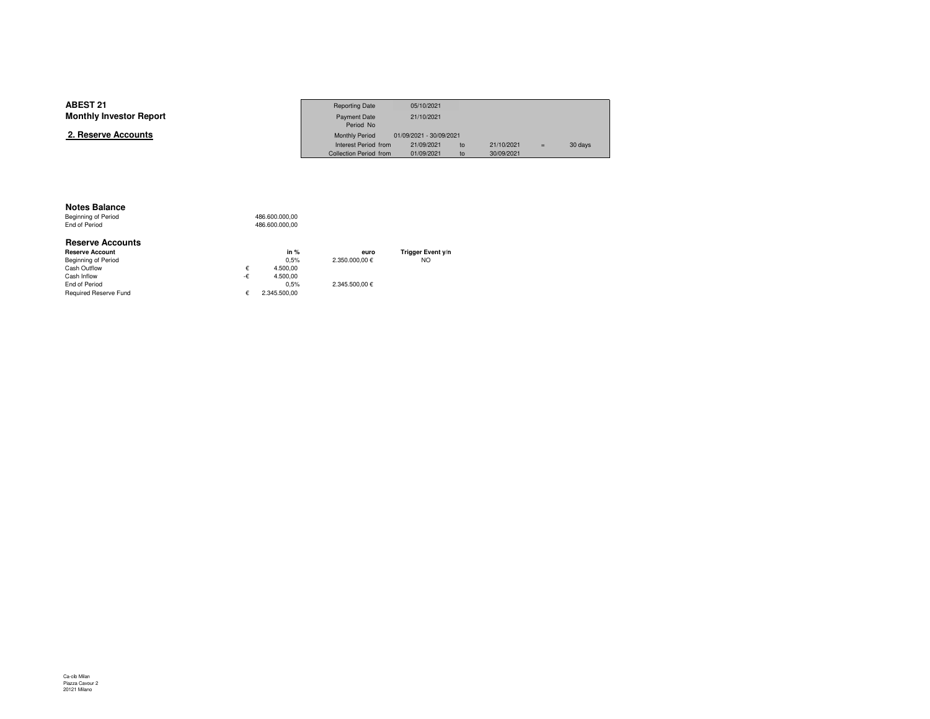| <b>ABEST 21</b>                | <b>Reporting Date</b>  | 05/10/2021              |                  |     |         |
|--------------------------------|------------------------|-------------------------|------------------|-----|---------|
| <b>Monthly Investor Report</b> | Payment Date           | 21/10/2021              |                  |     |         |
|                                | Period No              |                         |                  |     |         |
| 2. Reserve Accounts            | <b>Monthly Period</b>  | 01/09/2021 - 30/09/2021 |                  |     |         |
|                                | Interest Period from   | 21/09/2021              | 21/10/2021<br>to | $=$ | 30 days |
|                                | Collection Period from | 01/09/2021              | 30/09/2021<br>to |     |         |

#### **Notes Balance**

 Beginning of PeriodEnd of Period

| <b>Reserve Accounts</b>      |    |              |                |                   |
|------------------------------|----|--------------|----------------|-------------------|
| <b>Reserve Account</b>       |    | in $%$       | euro           | Trigger Event y/n |
| Beginning of Period          |    | 0.5%         | 2.350,000,00 € | <b>NO</b>         |
| Cash Outflow                 | €  | 4.500.00     |                |                   |
| Cash Inflow                  | -€ | 4.500.00     |                |                   |
| End of Period                |    | 0.5%         | 2.345.500.00 € |                   |
| <b>Required Reserve Fund</b> | ŧ. | 2.345.500.00 |                |                   |

486.600.000,00

486.600.000,00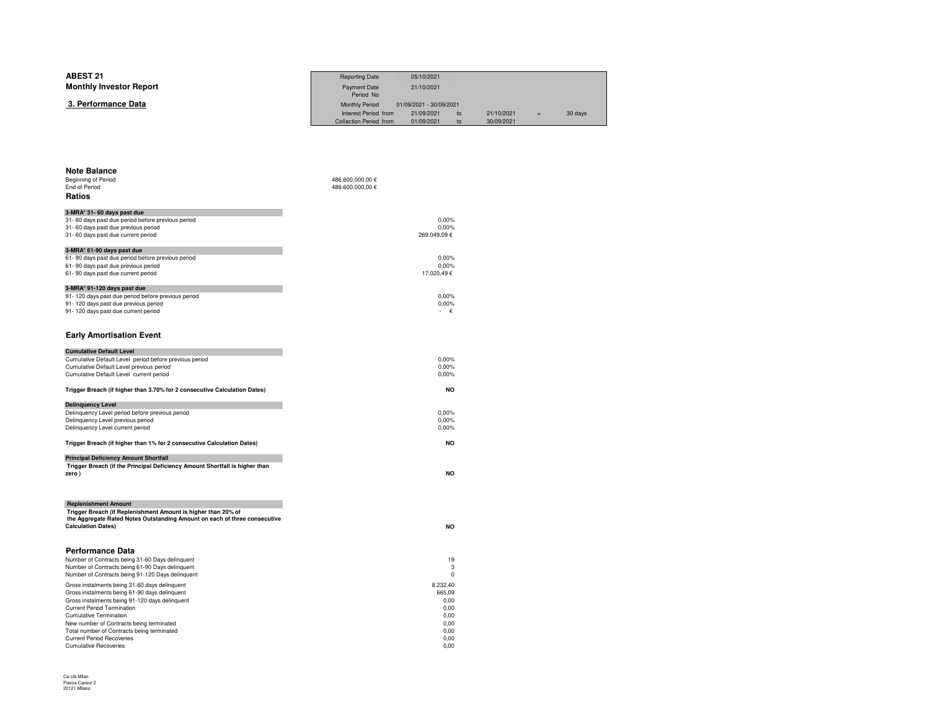| <b>ABEST 21</b><br><b>Monthly Investor Report</b> | <b>Reporting Date</b><br>Payment Date<br>Period No                      | 05/10/2021<br>21/10/2021                            |          |                          |     |         |
|---------------------------------------------------|-------------------------------------------------------------------------|-----------------------------------------------------|----------|--------------------------|-----|---------|
| 3. Performance Data                               | <b>Monthly Period</b><br>Interest Period from<br>Collection Period from | 01/09/2021 - 30/09/2021<br>21/09/2021<br>01/09/2021 | to<br>to | 21/10/2021<br>30/09/2021 | $=$ | 30 days |
|                                                   |                                                                         |                                                     |          |                          |     |         |
|                                                   |                                                                         |                                                     |          |                          |     |         |

| <b>Note Balance</b>                                                              |                  |
|----------------------------------------------------------------------------------|------------------|
| Beginning of Period                                                              | 486.600.000,00 € |
| End of Period                                                                    | 486.600.000,00 € |
| Ratios                                                                           |                  |
|                                                                                  |                  |
| 3-MRA* 31- 60 days past due<br>31-60 days past due period before previous period | 0.00%            |
| 31-60 days past due previous period                                              | 0.00%            |
| 31-60 days past due current period                                               | 269.049,09€      |
|                                                                                  |                  |
| 3-MRA* 61-90 days past due                                                       |                  |
| 61-90 days past due period before previous period                                | 0.00%            |
| 61-90 days past due previous period                                              | 0,00%            |
| 61-90 days past due current period                                               | 17.020,49€       |
| 3-MRA* 91-120 days past due                                                      |                  |
| 91-120 days past due period before previous period                               | 0,00%            |
| 91-120 days past due previous period                                             | 0,00%            |
| 91-120 days past due current period                                              | €                |
|                                                                                  |                  |
|                                                                                  |                  |
| <b>Early Amortisation Event</b>                                                  |                  |
|                                                                                  |                  |
| <b>Cumulative Default Level</b>                                                  |                  |
| Cumulative Default Level period before previous period                           | 0.00%            |
| Cumulative Default Level previous period                                         | 0,00%            |
| Cumulative Default Level current period                                          | 0,00%            |
|                                                                                  |                  |
| Trigger Breach (if higher than 3.70% for 2 consecutive Calculation Dates)        | <b>NO</b>        |
| <b>Delinquency Level</b>                                                         |                  |
| Delinquency Level period before previous period                                  | 0.00%            |
| Delinquency Level previous period                                                | 0.00%            |
| Delinquency Level current period                                                 | 0,00%            |
|                                                                                  |                  |
| Trigger Breach (if higher than 1% for 2 consecutive Calculation Dates)           | NO               |
|                                                                                  |                  |
| <b>Principal Deficiency Amount Shortfall</b>                                     |                  |
| Trigger Breach (if the Principal Deficiency Amount Shortfall is higher than      |                  |
| zero)                                                                            | <b>NO</b>        |
|                                                                                  |                  |
|                                                                                  |                  |
| <b>Replenishment Amount</b>                                                      |                  |
| Trigger Breach (if Replenishment Amount is higher than 20% of                    |                  |
| the Aggregate Rated Notes Outstanding Amount on each of three consecutive        |                  |
| <b>Calculation Dates)</b>                                                        | <b>NO</b>        |
|                                                                                  |                  |
|                                                                                  |                  |
| Performance Data                                                                 |                  |
| Number of Contracts being 31-60 Days delinquent                                  | 19               |
| Number of Contracts being 61-90 Days delinquent                                  | 3                |
| Number of Contracts being 91-120 Days delinquent                                 | 0                |
| Gross instalments being 31-60 days delinquent                                    | 8.232,40         |
| Gross instalments being 61-90 days delinquent                                    | 665,09           |
| Gross instalments being 91-120 days delinquent                                   | 0.00             |
| <b>Current Period Termination</b>                                                | 0,00             |
| <b>Cumulative Termination</b>                                                    | 0.00             |
| New number of Contracts being terminated                                         | 0.00             |
| Total number of Contracts being terminated                                       | 0.00             |
| <b>Current Period Recoveries</b>                                                 | 0.00             |
| <b>Cumulative Recoveries</b>                                                     | 0,00             |

 $\sim$  0,00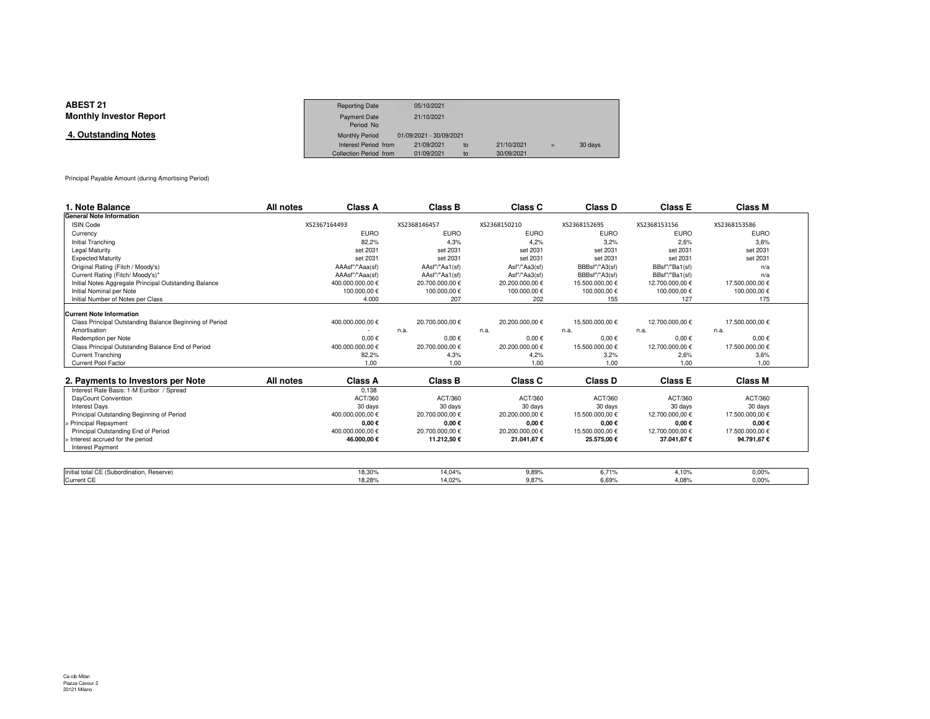| <b>ABEST 21</b>                | <b>Reporting Date</b>  | 05/10/2021              |    |            |     |         |
|--------------------------------|------------------------|-------------------------|----|------------|-----|---------|
| <b>Monthly Investor Report</b> | <b>Payment Date</b>    | 21/10/2021              |    |            |     |         |
|                                | Period No              |                         |    |            |     |         |
| 4. Outstanding Notes           | <b>Monthly Period</b>  | 01/09/2021 - 30/09/2021 |    |            |     |         |
|                                | Interest Period from   | 21/09/2021              | to | 21/10/2021 | $=$ | 30 days |
|                                | Collection Period from | 01/09/2021              | to | 30/09/2021 |     |         |

Principal Payable Amount (during Amortising Period)

| 1. Note Balance                                         | All notes    | <b>Class A</b>   |              | <b>Class B</b>  |                 | Class C       | Class D         | <b>Class E</b>  |      | <b>Class M</b>  |
|---------------------------------------------------------|--------------|------------------|--------------|-----------------|-----------------|---------------|-----------------|-----------------|------|-----------------|
| <b>General Note Information</b>                         |              |                  |              |                 |                 |               |                 |                 |      |                 |
| <b>ISIN Code</b>                                        | XS2367164493 |                  | XS2368146457 |                 | XS2368150210    |               | XS2368152695    | XS2368153156    |      | XS2368153586    |
| Currency                                                |              | <b>EURO</b>      |              | <b>EURO</b>     |                 | <b>EURO</b>   | <b>EURO</b>     | <b>EURO</b>     |      | <b>EURO</b>     |
| <b>Initial Tranching</b>                                |              | 82,2%            |              | 4,3%            |                 | 4,2%          | 3.2%            |                 | 2,6% | 3,6%            |
| Legal Maturity                                          |              | set 2031         |              | set 2031        |                 | set 2031      | set 2031        | set 2031        |      | set 2031        |
| <b>Expected Maturity</b>                                |              | set 2031         |              | set 2031        |                 | set 2031      | set 2031        | set 2031        |      | set 2031        |
| Original Rating (Fitch / Moody's)                       |              | AAAsf"/"Aaa(sf)  |              | AAsf"/"Aa1(sf)  |                 | Asf"/"Aa3(sf) | BBBsf"/"A3(sf)  | BBsf"/"Ba1(sf)  |      | n/a             |
| Current Rating (Fitch/ Moody's)*                        |              | AAAsf"/"Aaa(sf)  |              | AAsf"/"Aa1(sf)  |                 | Asf"/"Aa3(sf) | BBBsf"/"A3(sf)  | BBsf"/"Ba1(sf)  |      | n/a             |
| Initial Notes Aggregate Principal Outstanding Balance   |              | 400.000.000,00 € |              | 20.700.000,00 € | 20.200.000,00 € |               | 15.500.000,00 € | 12.700.000,00 € |      | 17.500.000,00 € |
| Initial Nominal per Note                                |              | 100.000,00 €     |              | 100.000,00 €    |                 | 100.000,00€   | 100.000,00€     | 100.000,00 €    |      | 100.000,00 €    |
| Initial Number of Notes per Class                       |              | 4.000            |              | 207             |                 | 202           | 155             |                 | 127  | 175             |
| <b>Current Note Information</b>                         |              |                  |              |                 |                 |               |                 |                 |      |                 |
| Class Principal Outstanding Balance Beginning of Period |              | 400.000.000,00 € |              | 20.700.000,00 € | 20.200.000,00 € |               | 15.500.000,00 € | 12.700.000,00 € |      | 17.500.000,00 € |
| Amortisation                                            |              |                  | n.a.         |                 | n.a.            |               | n.a.            | n.a.            | n.a. |                 |
| Redemption per Note                                     |              | $0,00 \in$       |              | $0.00 \in$      |                 | $0.00 \in$    | $0.00 \in$      | $0,00 \in$      |      | $0.00 \in$      |
| Class Principal Outstanding Balance End of Period       |              | 400.000.000,00 € |              | 20.700.000,00 € | 20.200.000,00 € |               | 15.500.000,00 € | 12.700.000,00 € |      | 17.500.000,00 € |
| <b>Current Tranching</b>                                |              | 82,2%            |              | 4,3%            |                 | 4,2%          | 3,2%            |                 | 2,6% | 3,6%            |
| Current Pool Factor                                     |              | 1,00             |              | 1.00            |                 | 1.00          | 1.00            |                 | 1,00 | 1.00            |
| 2. Payments to Investors per Note                       | All notes    | Class A          |              | Class B         |                 | Class C       | Class D         | <b>Class E</b>  |      | <b>Class M</b>  |
| Interest Rate Basis: 1-M Euribor / Spread               |              | 0.138            |              |                 |                 |               |                 |                 |      |                 |
| DayCount Convention                                     |              | ACT/360          |              | ACT/360         |                 | ACT/360       | ACT/360         | ACT/360         |      | ACT/360         |
| <b>Interest Days</b>                                    |              | 30 days          |              | 30 days         |                 | 30 days       | 30 days         | 30 days         |      | 30 days         |
| Principal Outstanding Beginning of Period               |              | 400.000.000,00 € |              | 20.700.000,00 € | 20.200.000,00 € |               | 15.500.000,00 € | 12.700.000,00 € |      | 17.500.000,00 € |
| > Principal Repayment                                   |              | $0,00 \in$       |              | $0.00 \in$      |                 | $0,00 \in$    | $0,00 \in$      | $0,00 \in$      |      | $0,00 \in$      |
| Principal Outstanding End of Period                     |              | 400.000.000.00 € |              | 20.700.000.00 € | 20.200.000.00 € |               | 15.500.000,00 € | 12.700.000.00 € |      | 17.500.000.00 € |
| > Interest accrued for the period                       |              | 46.000,00€       |              | 11.212,50€      |                 | 21.041,67€    | 25.575,00€      | 37.041,67 €     |      | 94.791,67€      |
| <b>Interest Payment</b>                                 |              |                  |              |                 |                 |               |                 |                 |      |                 |
|                                                         |              |                  |              |                 |                 |               |                 |                 |      |                 |
| Initial total CE (Subordination, Reserve)               |              | 18,30%           |              | 14,04%          |                 | 9,89%         | 6,71%           | 4,10%           |      | 0,00%           |
| Current CE                                              |              | 18.28%           |              | 14.02%          |                 | 9.87%         | 6.69%           | 4.08%           |      | 0.00%           |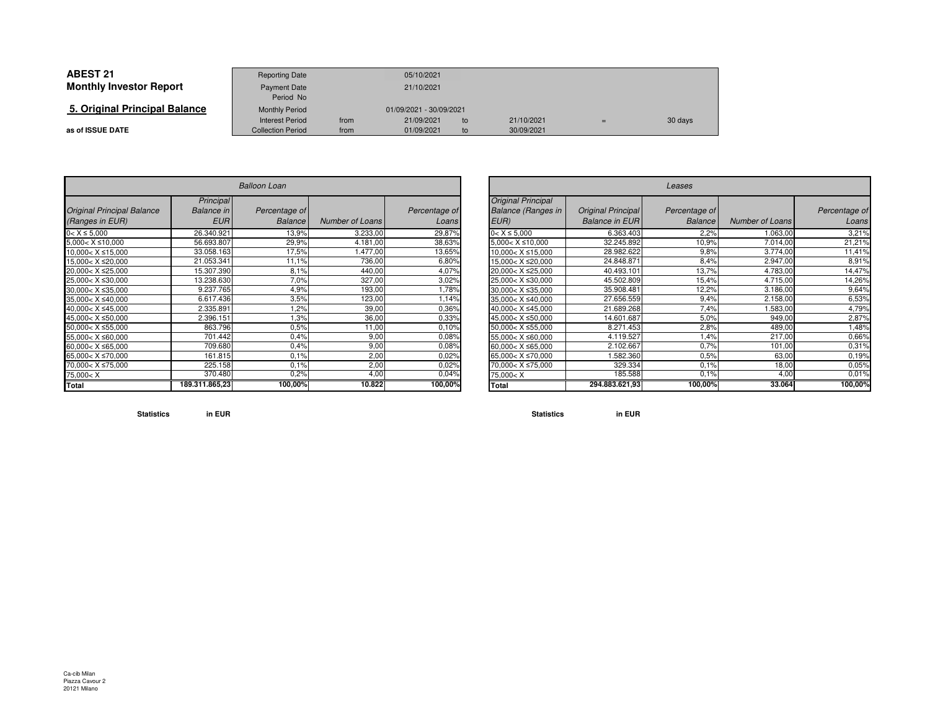| <b>ABEST 21</b>                | <b>Reporting Date</b>    |            | 05/10/2021              |    |            |  |         |
|--------------------------------|--------------------------|------------|-------------------------|----|------------|--|---------|
| <b>Monthly Investor Report</b> | <b>Payment Date</b>      | 21/10/2021 |                         |    |            |  |         |
|                                | Period No                |            |                         |    |            |  |         |
| 5. Original Principal Balance  | <b>Monthly Period</b>    |            | 01/09/2021 - 30/09/2021 |    |            |  |         |
|                                | <b>Interest Period</b>   | from       | 21/09/2021              | to | 21/10/2021 |  | 30 days |
| as of ISSUE DATE               | <b>Collection Period</b> | from       | 01/09/2021              | to | 30/09/2021 |  |         |

| <b>Balloon Loan</b>                                                            |                                              |                                 |                        |                        |  |  |  |  |
|--------------------------------------------------------------------------------|----------------------------------------------|---------------------------------|------------------------|------------------------|--|--|--|--|
| <b>Original Principal Balance</b><br>(Ranges in EUR)                           | Principal<br><b>Balance</b> in<br><b>EUR</b> | Percentage of<br><b>Balance</b> | <b>Number of Loans</b> | Percentage of<br>Loans |  |  |  |  |
| $0 < X \leq 5,000$                                                             | 26.340.921                                   | 13,9%                           | 3.233,00               | 29,87%                 |  |  |  |  |
| $5,000 < X \le 10,000$                                                         | 56.693.807                                   | 29,9%                           | 4.181,00               | 38,63%                 |  |  |  |  |
| $10,000 < X \le 15,000$                                                        | 33.058.163                                   | 17,5%                           | 1.477,00               | 13,65%                 |  |  |  |  |
| 15.000< X ≤20.000                                                              | 21.053.341                                   | 11,1%                           | 736,00                 | 6,80%                  |  |  |  |  |
| 20.000< X ≤25.000                                                              | 15.307.390                                   | 8.1%                            | 440,00                 | 4,07%                  |  |  |  |  |
| 25,000< X ≤30,000                                                              | 13.238.630                                   | 7,0%                            | 327,00                 | 3,02%                  |  |  |  |  |
| $30,000 < X \leq 35,000$                                                       | 9.237.765                                    | 4,9%                            | 193,00                 | 1,78%                  |  |  |  |  |
| $35,000 < X \leq 40,000$                                                       | 6.617.436                                    | 3.5%                            | 123,00                 | 1,14%                  |  |  |  |  |
| 40.000< X ≤45.000                                                              | 2.335.891                                    | 1,2%                            | 39,00                  | 0,36%                  |  |  |  |  |
| 45,000< X ≤50,000                                                              | 2.396.151                                    | 1,3%                            | 36,00                  | 0,33%                  |  |  |  |  |
| $50,000 < X \le 55,000$                                                        | 863.796                                      | 0.5%                            | 11,00                  | 0.10%                  |  |  |  |  |
| 55,000< X ≤60,000                                                              | 701.442                                      | 0.4%                            | 9,00                   | 0,08%                  |  |  |  |  |
| 60,000< $X \le 65,000$                                                         | 709.680                                      | 0.4%                            | 9,00                   | 0.08%                  |  |  |  |  |
| 65.000< X ≤70.000                                                              | 161.815                                      | 0.1%                            | 2,00                   | 0.02%                  |  |  |  |  |
| 70,000< X ≤75,000                                                              | 225.158                                      | 0.1%                            | 2,00                   | 0.02%                  |  |  |  |  |
| 75,000 <x< td=""><td>370.480</td><td>0,2%</td><td>4,00</td><td>0,04%</td></x<> | 370.480                                      | 0,2%                            | 4,00                   | 0,04%                  |  |  |  |  |
| Total                                                                          | 189.311.865,23                               | 100,00%                         | 10.822                 | 100,00%                |  |  |  |  |

| n                 |                        |                        |                                                                                | Leases                                             |                                 |                 |                        |  |  |  |  |  |
|-------------------|------------------------|------------------------|--------------------------------------------------------------------------------|----------------------------------------------------|---------------------------------|-----------------|------------------------|--|--|--|--|--|
| tage of<br>alance | <b>Number of Loans</b> | Percentage of<br>Loans | <b>Original Principal</b><br><b>Balance (Ranges in</b><br>EUR)                 | <b>Original Principal</b><br><b>Balance in EUR</b> | Percentage of<br><b>Balance</b> | Number of Loans | Percentage of<br>Loans |  |  |  |  |  |
| 13,9%             | 3.233,00               | 29,87%                 | $0 < X \leq 5.000$                                                             | 6.363.403                                          | 2,2%                            | 1.063,00        | 3,21%                  |  |  |  |  |  |
| 29,9%             | 4.181,00               | 38,63%                 | $5,000 < X \le 10,000$                                                         | 32.245.892                                         | 10,9%                           | 7.014,00        | 21,21%                 |  |  |  |  |  |
| 17,5%             | .477,00                | 13,65%                 | $10,000 < X \le 15,000$                                                        | 28.982.622                                         | 9,8%                            | 3.774,00        | 11,41%                 |  |  |  |  |  |
| 11,1%             | 736,00                 | 6,80%                  | 15,000< X ≤20,000                                                              | 24.848.871                                         | 8,4%                            | 2.947.00        | 8,91%                  |  |  |  |  |  |
| 8,1%              | 440,00                 | 4,07%                  | 20.000< X ≤25.000                                                              | 40.493.101                                         | 13,7%                           | 4.783,00        | 14,47%                 |  |  |  |  |  |
| 7,0%              | 327,00                 | 3,02%                  | 25,000< X ≤30,000                                                              | 45.502.809                                         | 15,4%                           | 4.715,00        | 14,26%                 |  |  |  |  |  |
| 4,9%              | 193,00                 | 1,78%                  | $30,000 < X \leq 35,000$                                                       | 35.908.481                                         | 12,2%                           | 3.186,00        | 9,64%                  |  |  |  |  |  |
| 3.5%              | 123,00                 | .14%                   | 35,000< X ≤40,000                                                              | 27.656.559                                         | 9,4%                            | 2.158,00        | 6,53%                  |  |  |  |  |  |
| 1,2%              | 39,00                  | 0.36%                  | 40,000< X ≤45,000                                                              | 21.689.268                                         | 7,4%                            | 1.583,00        | 4,79%                  |  |  |  |  |  |
| 1,3%              | 36,00                  | 0.33%                  | 45,000< X ≤50,000                                                              | 14.601.687                                         | 5,0%                            | 949,00          | 2,87%                  |  |  |  |  |  |
| 0.5%              | 11,00                  | 0.10%                  | $50.000 < X \le 55.000$                                                        | 8.271.453                                          | 2,8%                            | 489,00          | .48%                   |  |  |  |  |  |
| 0.4%              | 9,00                   | 0.08%                  | 55.000< X ≤60.000                                                              | 4.119.527                                          | .4%                             | 217,00          | 0,66%                  |  |  |  |  |  |
| 0.4%              | 9,00                   | 0.08%                  | $60,000 < X \leq 65,000$                                                       | 2.102.667                                          | 0.7%                            | 101,00          | 0,31%                  |  |  |  |  |  |
| 0.1%              | 2,00                   | 0.02%                  | 65,000< X ≤70,000                                                              | .582.360                                           | 0.5%                            | 63,00           | 0.19%                  |  |  |  |  |  |
| 0.1%              | 2,00                   | 0.02%                  | 70,000< X ≤75,000                                                              | 329.334                                            | 0.1%                            | 18,00           | 0,05%                  |  |  |  |  |  |
| 0.2%              | 4,00                   | 0,04%                  | 75,000 <x< td=""><td>185.588</td><td>0.1%</td><td>4,00</td><td>0,01%</td></x<> | 185.588                                            | 0.1%                            | 4,00            | 0,01%                  |  |  |  |  |  |
| 00,00%            | 10.822                 | 100,00%                | Total                                                                          | 294.883.621,93                                     | 100,00%                         | 33.064          | 100,00%                |  |  |  |  |  |

**Statistics in EUR**

**Statistics in EUR**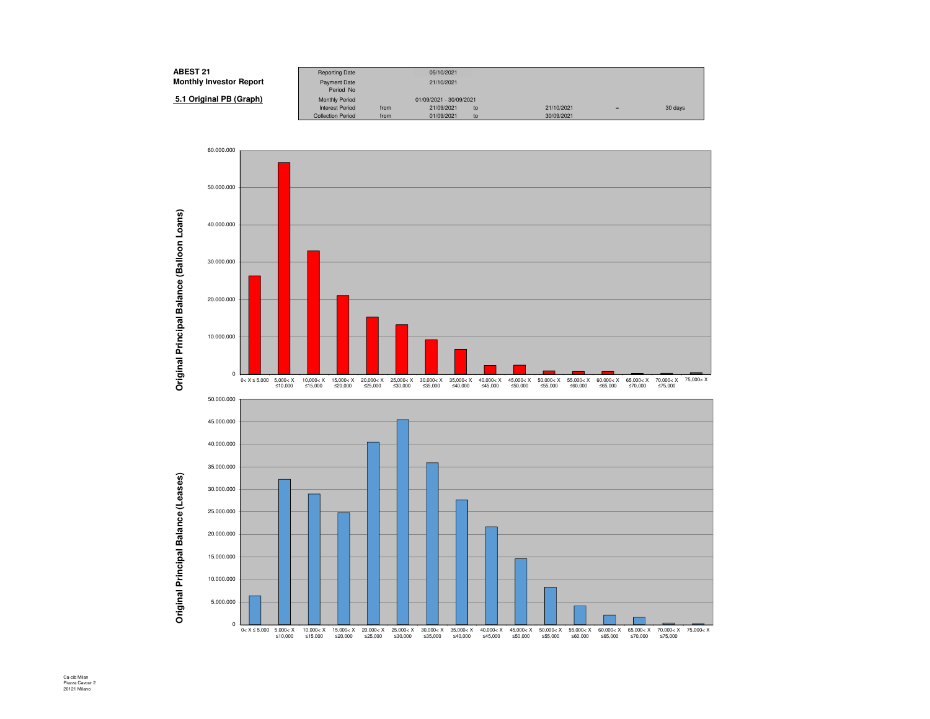| <b>ABEST 21</b>                | <b>Reporting Date</b>    |                         | 05/10/2021 |    |            |     |         |
|--------------------------------|--------------------------|-------------------------|------------|----|------------|-----|---------|
| <b>Monthly Investor Report</b> | Payment Date             |                         | 21/10/2021 |    |            |     |         |
|                                | Period No                |                         |            |    |            |     |         |
| 5.1 Original PB (Graph)        | <b>Monthly Period</b>    | 01/09/2021 - 30/09/2021 |            |    |            |     |         |
|                                | <b>Interest Period</b>   | from                    | 21/09/2021 | to | 21/10/2021 | $=$ | 30 days |
|                                | <b>Collection Period</b> | from                    | 01/09/2021 | to | 30/09/2021 |     |         |

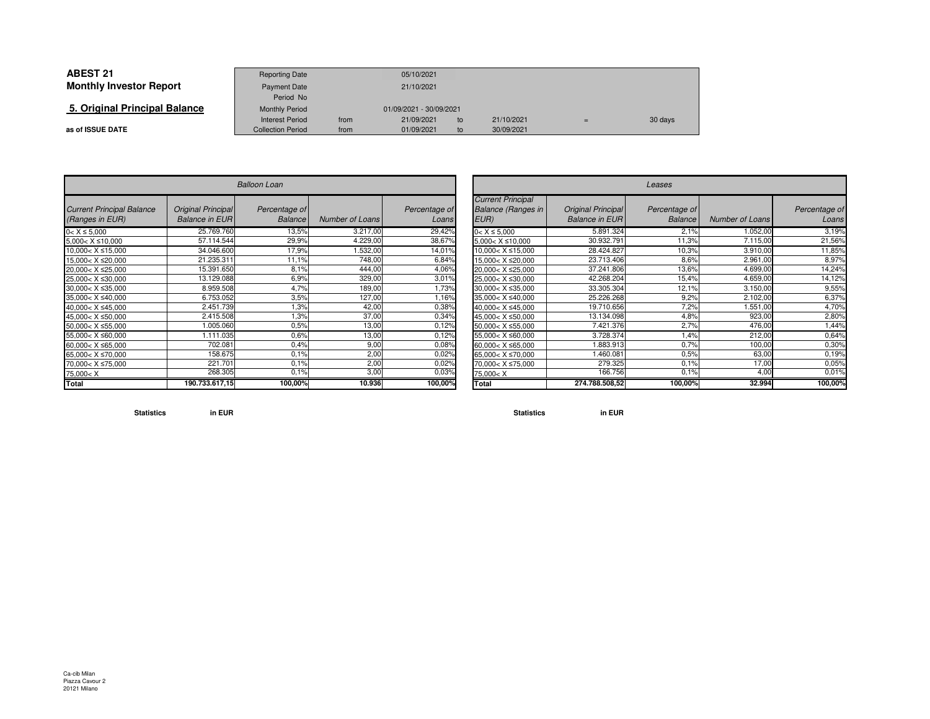| <b>ABEST 21</b>                | <b>Reporting Date</b>    |                         | 05/10/2021 |    |            |     |         |
|--------------------------------|--------------------------|-------------------------|------------|----|------------|-----|---------|
| <b>Monthly Investor Report</b> | <b>Payment Date</b>      |                         | 21/10/2021 |    |            |     |         |
|                                | Period No                |                         |            |    |            |     |         |
| 5. Original Principal Balance  | <b>Monthly Period</b>    | 01/09/2021 - 30/09/2021 |            |    |            |     |         |
|                                | Interest Period          | from                    | 21/09/2021 | to | 21/10/2021 | $=$ | 30 days |
| as of ISSUE DATE               | <b>Collection Period</b> | from                    | 01/09/2021 | to | 30/09/2021 |     |         |

 $\sim$ 

|                                                                                |                                             | <b>Balloon Loan</b>             |                 |                        |
|--------------------------------------------------------------------------------|---------------------------------------------|---------------------------------|-----------------|------------------------|
| <b>Current Principal Balance</b><br>(Ranges in EUR)                            | Original Principal<br><b>Balance in EUR</b> | Percentage of<br><b>Balance</b> | Number of Loans | Percentage of<br>Loans |
| $0 < X \le 5,000$                                                              | 25.769.760                                  | 13,5%                           | 3.217,00        | 29,42%                 |
| $5,000 < X \le 10,000$                                                         | 57.114.544                                  | 29,9%                           | 4.229,00        | 38,67%                 |
| $10,000 < X \le 15,000$                                                        | 34.046.600                                  | 17,9%                           | 1.532,00        | 14,01%                 |
| $15,000 < X \leq 20,000$                                                       | 21.235.311                                  | 11,1%                           | 748.00          | 6,84%                  |
| 20,000< X ≤25,000                                                              | 15.391.650                                  | 8.1%                            | 444.00          | 4,06%                  |
| 25,000< X ≤30,000                                                              | 13.129.088                                  | 6.9%                            | 329,00          | 3,01%                  |
| 30,000< X ≤35,000                                                              | 8.959.508                                   | 4,7%                            | 189,00          | 1,73%                  |
| 35.000< X ≤40.000                                                              | 6.753.052                                   | 3.5%                            | 127,00          | 1,16%                  |
| 40,000< X ≤45,000                                                              | 2.451.739                                   | 1,3%                            | 42,00           | 0,38%                  |
| 45,000< X ≤50,000                                                              | 2.415.508                                   | 1,3%                            | 37,00           | 0,34%                  |
| 50,000< X ≤55,000                                                              | 1.005.060                                   | 0.5%                            | 13,00           | 0,12%                  |
| 55,000< X ≤60,000                                                              | 1.111.035                                   | 0.6%                            | 13,00           | 0,12%                  |
| 60,000< $X \leq 65,000$                                                        | 702.081                                     | 0.4%                            | 9,00            | 0,08%                  |
| 65,000< X ≤70,000                                                              | 158.675                                     | 0.1%                            | 2,00            | 0,02%                  |
| 70,000< X ≤75,000                                                              | 221.701                                     | 0.1%                            | 2,00            | 0,02%                  |
| 75,000 <x< td=""><td>268.305</td><td>0.1%</td><td>3,00</td><td>0,03%</td></x<> | 268.305                                     | 0.1%                            | 3,00            | 0,03%                  |
| Total                                                                          | 190.733.617,15                              | 100,00%                         | 10.936          | 100,00%                |

| n                          |                        |                        |                                                                                 | Leases                                      |                                 |                        |                        |  |  |  |  |
|----------------------------|------------------------|------------------------|---------------------------------------------------------------------------------|---------------------------------------------|---------------------------------|------------------------|------------------------|--|--|--|--|
| ntage of<br><b>Balance</b> | <b>Number of Loans</b> | Percentage of<br>Loans | <b>Current Principal</b><br><b>Balance (Ranges in</b><br>EUR)                   | Original Principal<br><b>Balance in EUR</b> | Percentage of<br><b>Balance</b> | <b>Number of Loans</b> | Percentage of<br>Loans |  |  |  |  |
| 13,5%                      | 3.217,00               | 29,42%                 | $0 < X \le 5,000$                                                               | 5.891.324                                   | 2.1%                            | 1.052,00               | 3,19%                  |  |  |  |  |
| 29,9%                      | 4.229,00               | 38,67%                 | $5,000 < X \le 10,000$                                                          | 30.932.791                                  | 11,3%                           | 7.115,00               | 21,56%                 |  |  |  |  |
| 17,9%                      | .532,00                | 14,01%                 | $10.000 < X \le 15.000$                                                         | 28.424.827                                  | 10.3%                           | 3.910,00               | 11,85%                 |  |  |  |  |
| 11,1%                      | 748,00                 | 6,84%                  | 15,000< X ≤20,000                                                               | 23.713.406                                  | 8,6%                            | 2.961,00               | 8,97%                  |  |  |  |  |
| 8.1%                       | 444,00                 | 4,06%                  | 20,000< X ≤25,000                                                               | 37.241.806                                  | 13,6%                           | 4.699,00               | 14,24%                 |  |  |  |  |
| 6,9%                       | 329,00                 | 3,01%                  | 25,000< X ≤30,000                                                               | 42.268.204                                  | 15,4%                           | 4.659.00               | 14,12%                 |  |  |  |  |
| 4,7%                       | 189,00                 | 1,73%                  | 30,000< X ≤35,000                                                               | 33.305.304                                  | 12,1%                           | 3.150,00               | 9,55%                  |  |  |  |  |
| 3.5%                       | 127,00                 | 1,16%                  | 35,000< X ≤40,000                                                               | 25.226.268                                  | 9,2%                            | 2.102,00               | 6,37%                  |  |  |  |  |
| 1.3%                       | 42,00                  | 0,38%                  | 40,000< X ≤45,000                                                               | 19.710.656                                  | 7,2%                            | 1.551,00               | 4,70%                  |  |  |  |  |
| 1,3%                       | 37,00                  | 0,34%                  | 45,000< X ≤50,000                                                               | 13.134.098                                  | 4,8%                            | 923,00                 | 2,80%                  |  |  |  |  |
| 0.5%                       | 13,00                  | 0,12%                  | 50,000< X ≤55,000                                                               | 7.421.376                                   | 2,7%                            | 476,00                 | ,44%                   |  |  |  |  |
| 0.6%                       | 13,00                  | 0,12%                  | 55,000< X ≤60,000                                                               | 3.728.374                                   | 1,4%                            | 212,00                 | 0,64%                  |  |  |  |  |
| 0.4%                       | 9,00                   | 0,08%                  | 60,000< X ≤65,000                                                               | .883.913                                    | 0.7%                            | 100,00                 | 0.30%                  |  |  |  |  |
| 0.1%                       | 2,00                   | 0,02%                  | 65,000< X ≤70,000                                                               | .460.081                                    | 0,5%                            | 63,00                  | 0.19%                  |  |  |  |  |
| 0.1%                       | 2,00                   | 0,02%                  | 70,000< X ≤75,000                                                               | 279.325                                     | 0.1%                            | 17,00                  | 0,05%                  |  |  |  |  |
| $0.1\%$                    | 3,00                   | 0,03%                  | 75,000 <x< td=""><td>166.7561</td><td>0.1%</td><td>4,00</td><td>0,01%</td></x<> | 166.7561                                    | 0.1%                            | 4,00                   | 0,01%                  |  |  |  |  |
| 100,00%                    | 10.936                 | 100,00%                | Total                                                                           | 274.788.508.52                              | 100,00%                         | 32.994                 | 100,00%                |  |  |  |  |

**Statistics in EUR**

**Statistics in EUR**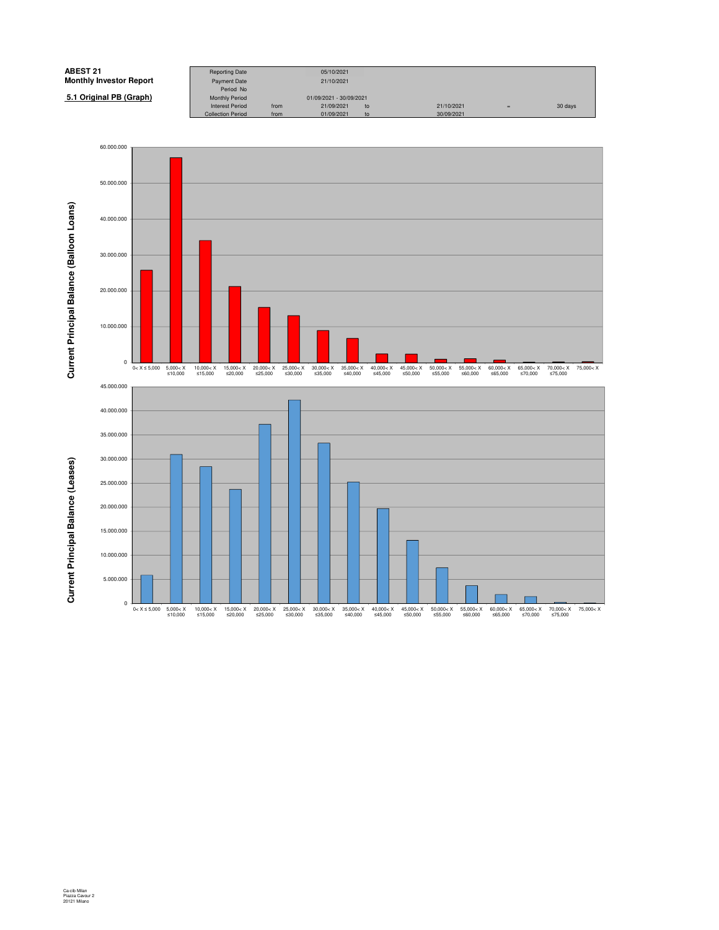

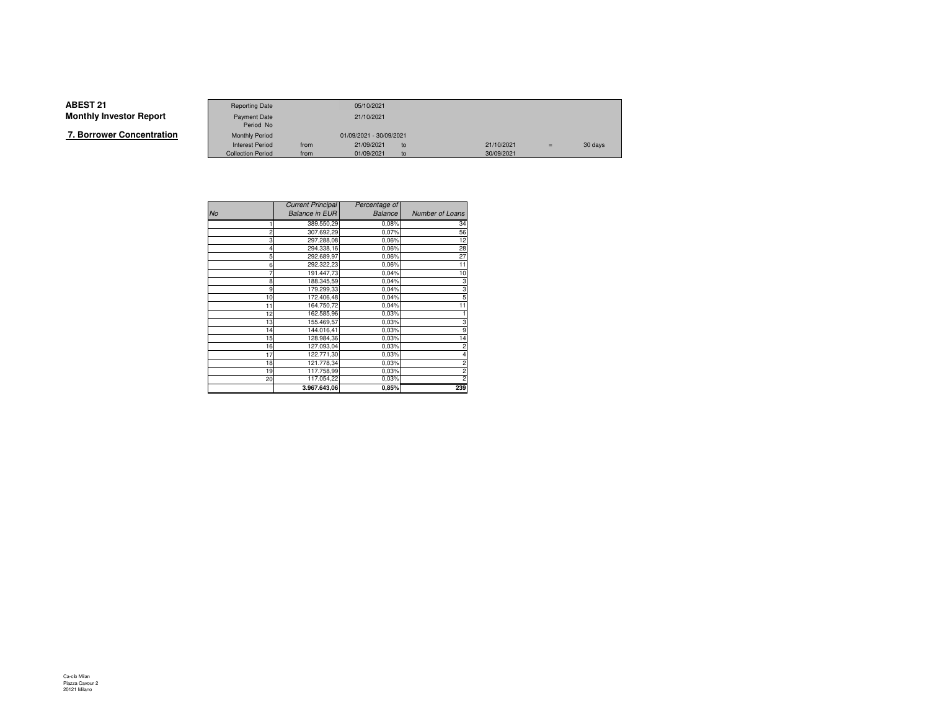|--|

|                   | <b>Reporting Date</b>    |      | 05/10/2021              |    |            |     |         |
|-------------------|--------------------------|------|-------------------------|----|------------|-----|---------|
| Investor Report   | <b>Payment Date</b>      |      | 21/10/2021              |    |            |     |         |
|                   | Period No                |      |                         |    |            |     |         |
| wer Concentration | <b>Monthly Period</b>    |      | 01/09/2021 - 30/09/2021 |    |            |     |         |
|                   | <b>Interest Period</b>   | from | 21/09/2021              | to | 21/10/2021 | $=$ | 30 days |
|                   | <b>Collection Period</b> | from | 01/09/2021              | to | 30/09/2021 |     |         |

|                | <b>Current Principal</b> | Percentage of  |                 |
|----------------|--------------------------|----------------|-----------------|
| <b>No</b>      | <b>Balance in EUR</b>    | <b>Balance</b> | Number of Loans |
|                | 389.550,29               | 0,08%          | 34              |
| $\overline{c}$ | 307.692,29               | 0,07%          | 56              |
| 3              | 297.288,08               | 0.06%          | 12              |
|                | 294.338,16               | 0,06%          | 28              |
| 5              | 292.689,97               | 0.06%          | 27              |
| 6              | 292.322,23               | 0.06%          | 11              |
|                | 191.447,73               | 0,04%          | 10              |
| 8              | 188.345.59               | 0,04%          | 3               |
| 9              | 179.299,33               | 0,04%          | 3               |
| 10             | 172.406,48               | 0,04%          | 5               |
| 11             | 164.750.72               | 0,04%          | 11              |
| 12             | 162.585,96               | 0.03%          |                 |
| 13             | 155.469,57               | 0.03%          | 3               |
| 14             | 144.016,41               | 0.03%          | 9               |
| 15             | 128.984,36               | 0.03%          | 14              |
| 16             | 127.093,04               | 0.03%          |                 |
| 17             | 122.771,30               | 0.03%          |                 |
| 18             | 121.778,34               | 0.03%          |                 |
| 19             | 117.758,99               | 0.03%          |                 |
| 20             | 117.054,22               | 0.03%          |                 |
|                | 3.967.643,06             | 0,85%          | 239             |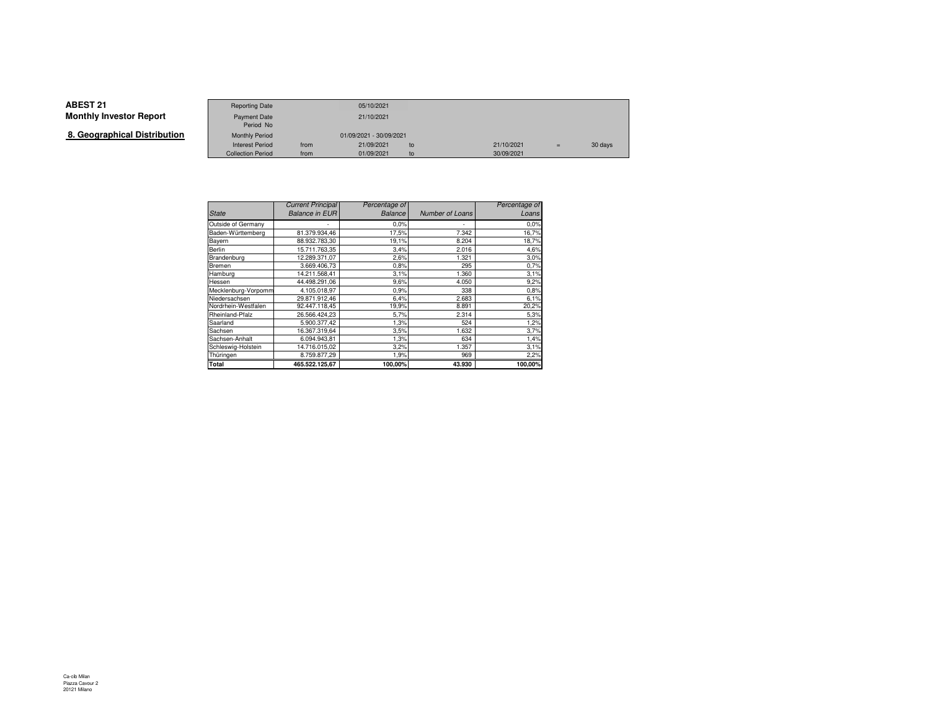**8. Geographical Distribution**

|                      | <b>Reporting Date</b>    |      | 05/10/2021              |    |            |     |         |
|----------------------|--------------------------|------|-------------------------|----|------------|-----|---------|
| Investor Report      | Payment Date             |      | 21/10/2021              |    |            |     |         |
|                      | Period No                |      |                         |    |            |     |         |
| aphical Distribution | <b>Monthly Period</b>    |      | 01/09/2021 - 30/09/2021 |    |            |     |         |
|                      | <b>Interest Period</b>   | from | 21/09/2021              | to | 21/10/2021 | $=$ | 30 days |
|                      | <b>Collection Period</b> | from | 01/09/2021              | to | 30/09/2021 |     |         |

|                     | <b>Current Principal</b> | Percentage of  |                 | Percentage of |
|---------------------|--------------------------|----------------|-----------------|---------------|
| <b>State</b>        | <b>Balance in EUR</b>    | <b>Balance</b> | Number of Loans | Loans         |
| Outside of Germany  |                          | 0.0%           | ۰               | 0.0%          |
| Baden-Württemberg   | 81.379.934.46            | 17,5%          | 7.342           | 16,7%         |
| Bayern              | 88.932.783.30            | 19,1%          | 8.204           | 18,7%         |
| Berlin              | 15.711.763.35            | 3,4%           | 2.016           | 4,6%          |
| Brandenburg         | 12.289.371,07            | 2,6%           | 1.321           | 3,0%          |
| Bremen              | 3.669.406.73             | 0.8%           | 295             | 0,7%          |
| Hamburg             | 14.211.568.41            | 3,1%           | 1.360           | 3,1%          |
| Hessen              | 44.498.291,06            | 9,6%           | 4.050           | 9,2%          |
| Mecklenburg-Vorpomm | 4.105.018.97             | 0,9%           | 338             | 0,8%          |
| Niedersachsen       | 29.871.912.46            | 6,4%           | 2.683           | 6,1%          |
| Nordrhein-Westfalen | 92.447.118,45            | 19,9%          | 8.891           | 20,2%         |
| Rheinland-Pfalz     | 26.566.424.23            | 5,7%           | 2.314           | 5,3%          |
| Saarland            | 5.900.377,42             | 1,3%           | 524             | 1,2%          |
| Sachsen             | 16.367.319,64            | 3,5%           | 1.632           | 3,7%          |
| Sachsen-Anhalt      | 6.094.943.81             | 1,3%           | 634             | 1,4%          |
| Schleswig-Holstein  | 14.716.015,02            | 3,2%           | 1.357           | 3,1%          |
| Thüringen           | 8.759.877,29             | 1,9%           | 969             | 2,2%          |
| Total               | 465.522.125.67           | 100,00%        | 43.930          | 100,00%       |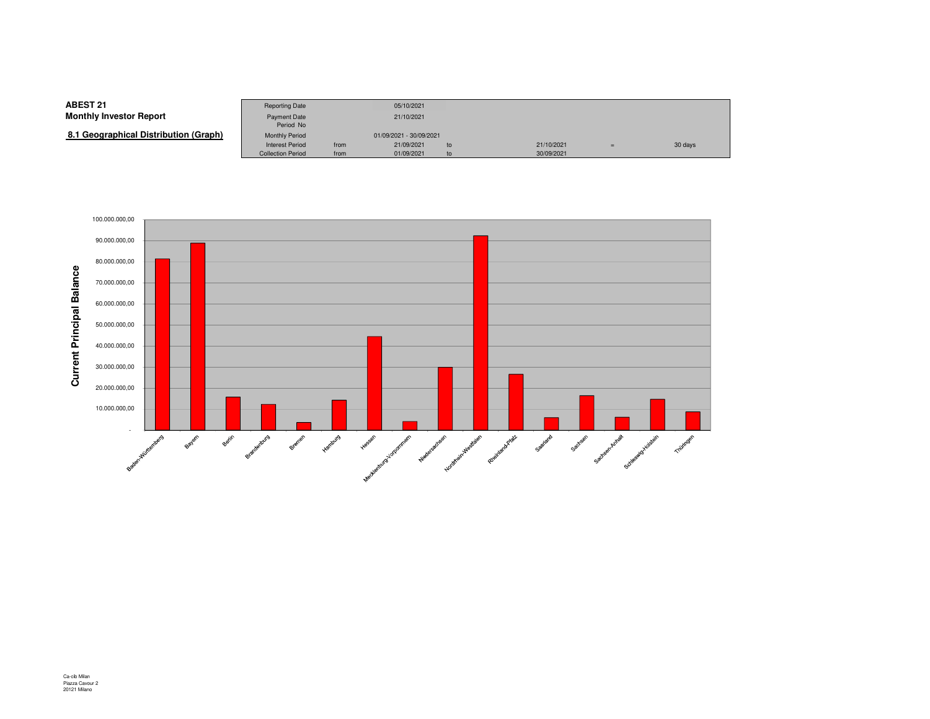**8.1 Geographical Distribution (Graph)**

|                                | <b>Reporting Date</b>     |      | 05/10/2021              |    |            |     |         |
|--------------------------------|---------------------------|------|-------------------------|----|------------|-----|---------|
| Investor Report                | Payment Date<br>Period No |      | 21/10/2021              |    |            |     |         |
| (Graphical Distribution (Graph | <b>Monthly Period</b>     |      | 01/09/2021 - 30/09/2021 |    |            |     |         |
|                                | <b>Interest Period</b>    | from | 21/09/2021              | to | 21/10/2021 | $=$ | 30 days |
|                                | <b>Collection Period</b>  | from | 01/09/2021              | to | 30/09/2021 |     |         |

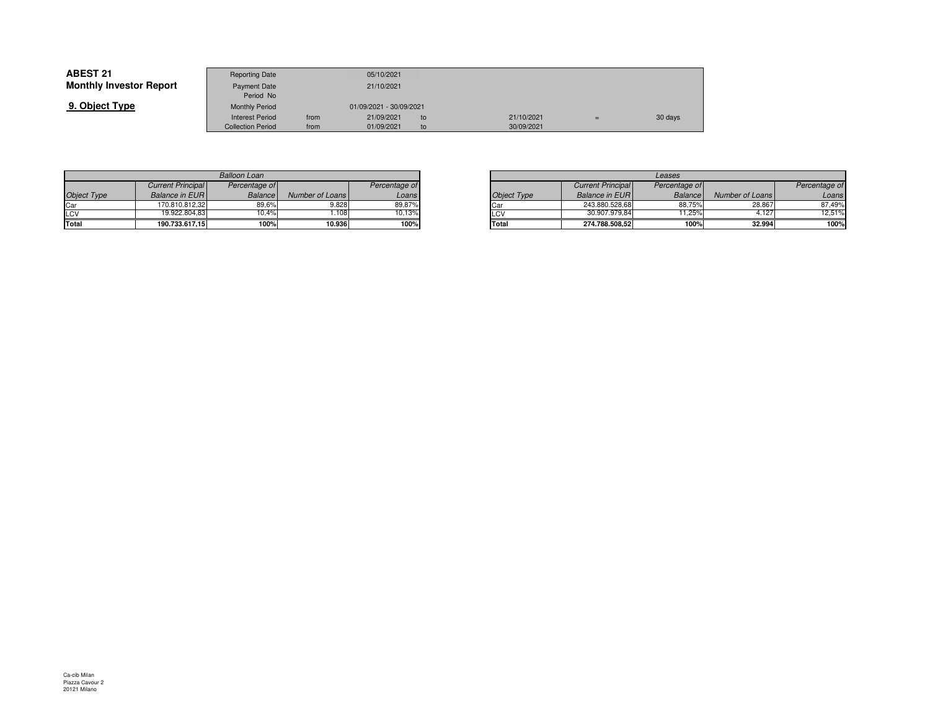| <b>ABEST 21</b>                | <b>Reporting Date</b>     |      | 05/10/2021              |    |            |         |
|--------------------------------|---------------------------|------|-------------------------|----|------------|---------|
| <b>Monthly Investor Report</b> | Payment Date<br>Period No |      | 21/10/2021              |    |            |         |
| 9. Object Type                 | <b>Monthly Period</b>     |      | 01/09/2021 - 30/09/2021 |    |            |         |
|                                | <b>Interest Period</b>    | from | 21/09/2021              | to | 21/10/2021 | 30 days |
|                                | <b>Collection Period</b>  | from | 01/09/2021              | to | 30/09/2021 |         |

| <b>Balloon Loan</b> |                          |                |                 |               |  |  |  |  |  |
|---------------------|--------------------------|----------------|-----------------|---------------|--|--|--|--|--|
|                     | <b>Current Principal</b> | Percentage of  |                 | Percentage of |  |  |  |  |  |
| <b>Object Type</b>  | <b>Balance in EUR</b>    | <b>Balance</b> | Number of Loans | Loans         |  |  |  |  |  |
| Car                 | 170.810.812.32           | 89.6%          | 9.828           | 89.87%        |  |  |  |  |  |
| LCV                 | 19.922.804.83            | 10.4%          | 1.108           | 10.13%        |  |  |  |  |  |
| Total               | 190.733.617,15           | 100%           | 10.936          | 100%          |  |  |  |  |  |

|       |                 |               |                    | Leases                   |                |                 |  |
|-------|-----------------|---------------|--------------------|--------------------------|----------------|-----------------|--|
| ae of |                 | Percentage of |                    | <b>Current Principal</b> | Percentage of  |                 |  |
| ance  | Number of Loans | Loans         | <b>Object Type</b> | <b>Balance in EURI</b>   | <b>Balance</b> | Number of Loans |  |
| 19,6% | 9.828           | 89,87%        | <b>ICar</b>        | 243.880.528.68           | 88,75%         | 28.867          |  |
| 0.4%  | .108            | 10.13%        | LCV                | 30.907.979.84            | 11.25%         | 4.127           |  |
| 100%  | 10.936          | 100%          | Total              | 274.788.508.52           | 100%           | 32.994          |  |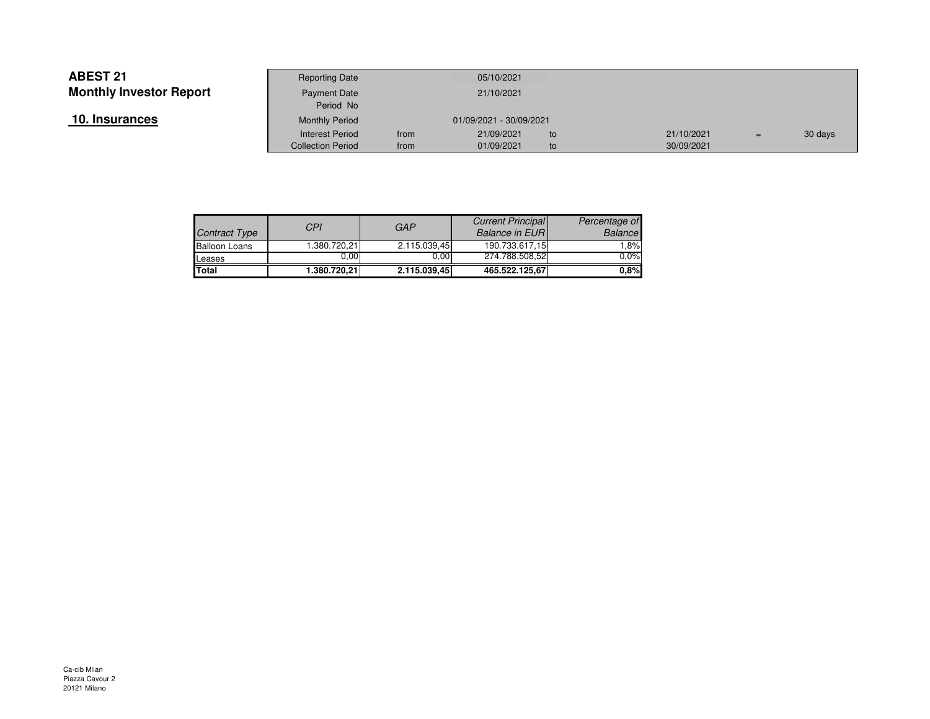| 10. Insurances |  |
|----------------|--|
|----------------|--|

|                 | <b>Reporting Date</b>     |      | 05/10/2021              |    |            |     |         |
|-----------------|---------------------------|------|-------------------------|----|------------|-----|---------|
| Investor Report | Payment Date<br>Period No |      | 21/10/2021              |    |            |     |         |
| <u>ances</u>    | <b>Monthly Period</b>     |      | 01/09/2021 - 30/09/2021 |    |            |     |         |
|                 | <b>Interest Period</b>    | from | 21/09/2021              | to | 21/10/2021 | $=$ | 30 days |
|                 | <b>Collection Period</b>  | from | 01/09/2021              | to | 30/09/2021 |     |         |

| Contract Type        | CPI          | <b>GAP</b>   | <b>Current Principal</b><br><b>Balance in EURI</b> | Percentage of<br><b>Balance</b> |
|----------------------|--------------|--------------|----------------------------------------------------|---------------------------------|
| <b>Balloon Loans</b> | 1.380.720.21 | 2.115.039,45 | 190.733.617.15                                     | $1.8\%$                         |
| Leases               | 0.00         | 0.00         | 274.788.508.52                                     | $0.0\%$                         |
| <b>Total</b>         | 1.380.720,21 | 2.115.039.45 | 465.522.125.67                                     | 0.8%                            |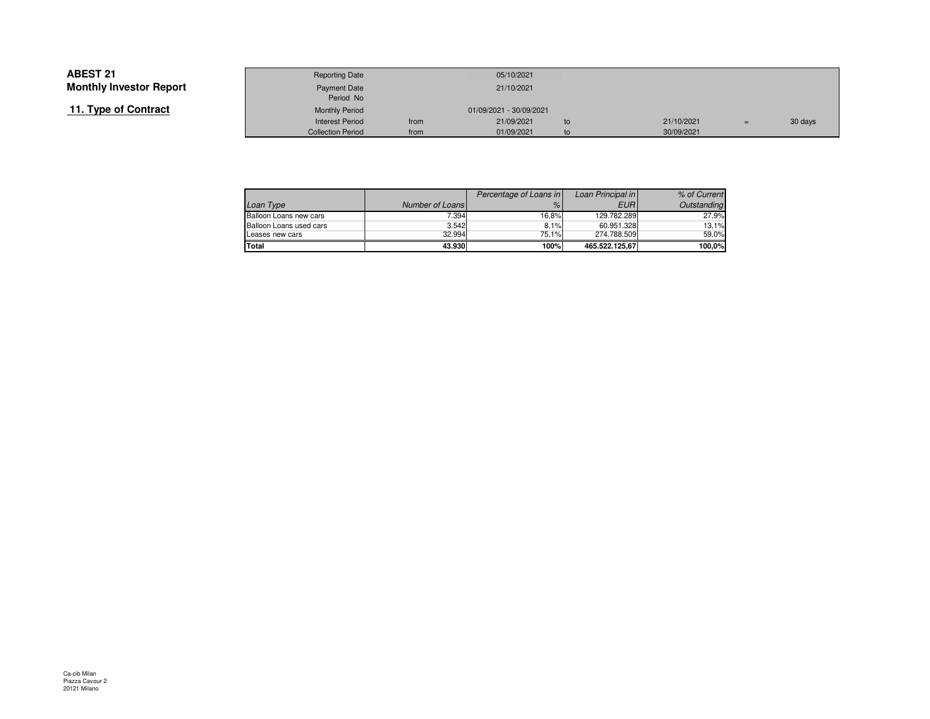## **11. Type of Contract**

|                 | <b>Reporting Date</b>    |                         | 05/10/2021 |    |  |            |     |         |
|-----------------|--------------------------|-------------------------|------------|----|--|------------|-----|---------|
| Investor Report | Payment Date             |                         | 21/10/2021 |    |  |            |     |         |
|                 | Period No                |                         |            |    |  |            |     |         |
| of Contract     | <b>Monthly Period</b>    | 01/09/2021 - 30/09/2021 |            |    |  |            |     |         |
|                 | <b>Interest Period</b>   | from                    | 21/09/2021 | to |  | 21/10/2021 | $=$ | 30 days |
|                 | <b>Collection Period</b> | from                    | 01/09/2021 | to |  | 30/09/2021 |     |         |

|                         |                 | Percentage of Loans in | Loan Principal in | % of Current |
|-------------------------|-----------------|------------------------|-------------------|--------------|
| Loan Type               | Number of Loans | $\%$                   | <b>EURI</b>       | Outstanding  |
| Balloon Loans new cars  | 7.394           | 16.8%                  | 129.782.289       | 27.9%        |
| Balloon Loans used cars | 3.542           | 8.1%                   | 60.951.328        | 13.1%        |
| Leases new cars         | 32.994          | 75.1%                  | 274.788.509       | 59.0%        |
| Total                   | 43.930          | 100%                   | 465.522.125.67    | 100.0%       |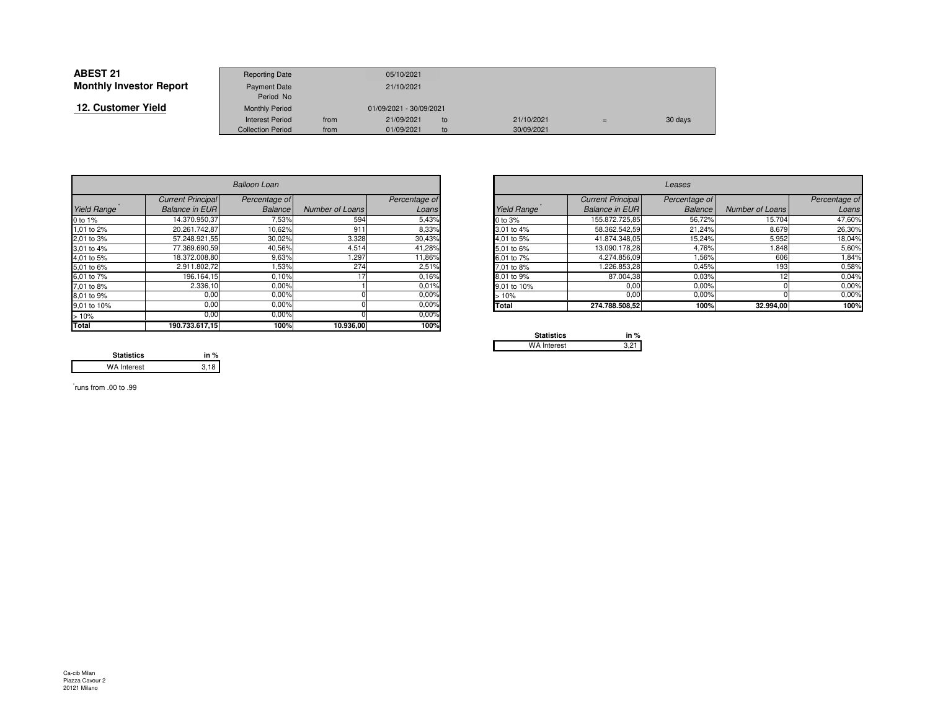| <b>ABEST 21</b>                | <b>Reporting Date</b>    |      | 05/10/2021              |    |            |     |         |
|--------------------------------|--------------------------|------|-------------------------|----|------------|-----|---------|
| <b>Monthly Investor Report</b> | <b>Payment Date</b>      |      | 21/10/2021              |    |            |     |         |
|                                | Period No                |      |                         |    |            |     |         |
| 12. Customer Yield             | <b>Monthly Period</b>    |      | 01/09/2021 - 30/09/2021 |    |            |     |         |
|                                | <b>Interest Period</b>   | from | 21/09/2021              | to | 21/10/2021 | $=$ | 30 days |
|                                | <b>Collection Period</b> | from | 01/09/2021              | to | 30/09/2021 |     |         |

|             | <b>Balloon Loan</b>      |                |                 |               |                                                 | Leases                   |                |                 |               |  |  |
|-------------|--------------------------|----------------|-----------------|---------------|-------------------------------------------------|--------------------------|----------------|-----------------|---------------|--|--|
|             | <b>Current Principal</b> | Percentage of  |                 | Percentage of |                                                 | <b>Current Principal</b> | Percentage of  |                 | Percentage of |  |  |
| Yield Range | <b>Balance in EURI</b>   | <b>Balance</b> | Number of Loans | Loans         | Yield Range                                     | <b>Balance in EURI</b>   | <b>Balance</b> | Number of Loans | Loans         |  |  |
| 0 to 1%     | 14.370.950,37            | 7,53%          | 594             | 5,43%         | 0 to 3%                                         | 155.872.725,85           | 56,72%         | 15.704          | 47,60%        |  |  |
| 1,01 to 2%  | 20.261.742.87            | 10,62%         | 911             | 8,33%         | 3.01 to 4%                                      | 58.362.542,59            | 21,24%         | 8.679           | 26,30%        |  |  |
| 2,01 to 3%  | 57.248.921,55            | 30,02%         | 3.328           | 30,43%        | 4,01 to 5%                                      | 41.874.348,05            | 15,24%         | 5.952           | 18,04%        |  |  |
| 3,01 to 4%  | 77.369.690,59            | 40,56%         | 4.514           | 41,28%        | 5,01 to 6%                                      | 13.090.178,28            | 4,76%          | .848            | 5,60%         |  |  |
| 4,01 to 5%  | 18.372.008,80            | 9,63%          | .297            | 11,86%        | 6.01 to 7%                                      | 4.274.856,09             | 1,56%          | 606             | 1,84%         |  |  |
| 5,01 to 6%  | 2.911.802,72             | 1,53%          | 274             | 2,51%         | 7.01 to 8%                                      | 1.226.853,28             | 0,45%          | 193             | 0,58%         |  |  |
| 6,01 to 7%  | 196.164,15               | 0,10%          |                 | 0.16%         | 8.01 to 9%                                      | 87.004,38                | 0.03%          |                 | 0,04%         |  |  |
| 7,01 to 8%  | 2.336,10                 | 0,00%          |                 | 0.01%         | 9.01 to 10%                                     | 0,00                     | 0.00%          |                 | 0,00%         |  |  |
| 8,01 to 9%  | 0,00                     | 0,00%          |                 | 0.00%         | >10%                                            | 0,00                     | 0,00%          |                 | 0,00%         |  |  |
| 9,01 to 10% | 0,00                     | 0.00%          |                 | 0.00%         | <b>Total</b>                                    | 274.788.508,52           | 100%           | 32.994,00       | 100%          |  |  |
| >10%        | 0,00                     | 0,00%          |                 | $0.00\%$      |                                                 |                          |                |                 |               |  |  |
| Total       | 190.733.617,15           | 100%           | 10.936,00       | 100%          | the contract of the contract of the contract of |                          |                |                 |               |  |  |

|       | <b>Balloon Loan</b>      |                |                 |               |             |                          | Leases         |                 |               |
|-------|--------------------------|----------------|-----------------|---------------|-------------|--------------------------|----------------|-----------------|---------------|
|       | <b>Current Principal</b> | Percentage of  |                 | Percentage of |             | <b>Current Principal</b> | Percentage of  |                 | Percentage of |
| Range | <b>Balance in EURI</b>   | <b>Balance</b> | Number of Loans | Loans         | Yield Range | <b>Balance in EURI</b>   | <b>Balance</b> | Number of Loans | Loans         |
|       | 14.370.950,37            | 7,53%          | 594             | 5,43%         | 0 to 3%     | 155.872.725,85           | 56,72%         | 15.704          | 47,60%        |
| o 2%  | 20.261.742,87            | 10,62%         | 911             | 8,33%         | 3.01 to 4%  | 58.362.542,59            | 21,24%         | 8.679           | 26,30%        |
| o 3%  | 57.248.921,55            | 30,02%         | 3.328           | 30,43%        | 4,01 to 5%  | 41.874.348,05            | 15,24%         | 5.952           | 18,04%        |
| o 4%  | 77.369.690,59            | 40,56%         | 4.514           | 41,28%        | 5,01 to 6%  | 13.090.178.28            | 4,76%          | 1.848           | 5,60%         |
| o 5%  | 18.372.008,80            | 9,63%          | 1.297           | 11,86%        | 6,01 to 7%  | 4.274.856,09             | 1,56%          | 606             | 1,84%         |
| o 6%  | 2.911.802,72             | 1,53%          | 274             | 2,51%         | 7,01 to 8%  | 1.226.853,28             | 0,45%          | 193             | 0,58%         |
| o 7%  | 196.164,15               | 0,10%          |                 | 0,16%         | 8,01 to 9%  | 87.004,38                | 0,03%          |                 | 0,04%         |
| o 8%  | 2.336,10                 | 0.00%          |                 | 0.01%         | 9,01 to 10% | 0,00                     | 0,00%          |                 | 0.00%         |
| о 9%  | 0.00                     | 0,00%          |                 | 0,00%         | >10%        | 0,00                     | 0,00%          |                 | 0,00%         |
| o 10% | 0,00                     | 0,00%          |                 | 0,00%         | Total       | 274.788.508,52           | 100%           | 32.994,00       | 100%          |
|       | ---                      | .              |                 | $ -$          |             |                          |                |                 |               |

| <b>Statistics</b>  | in $%$ |
|--------------------|--------|
| <b>WA Interest</b> |        |

**Statistics in %** $3,18$ WA Interest

\* runs from .00 to .99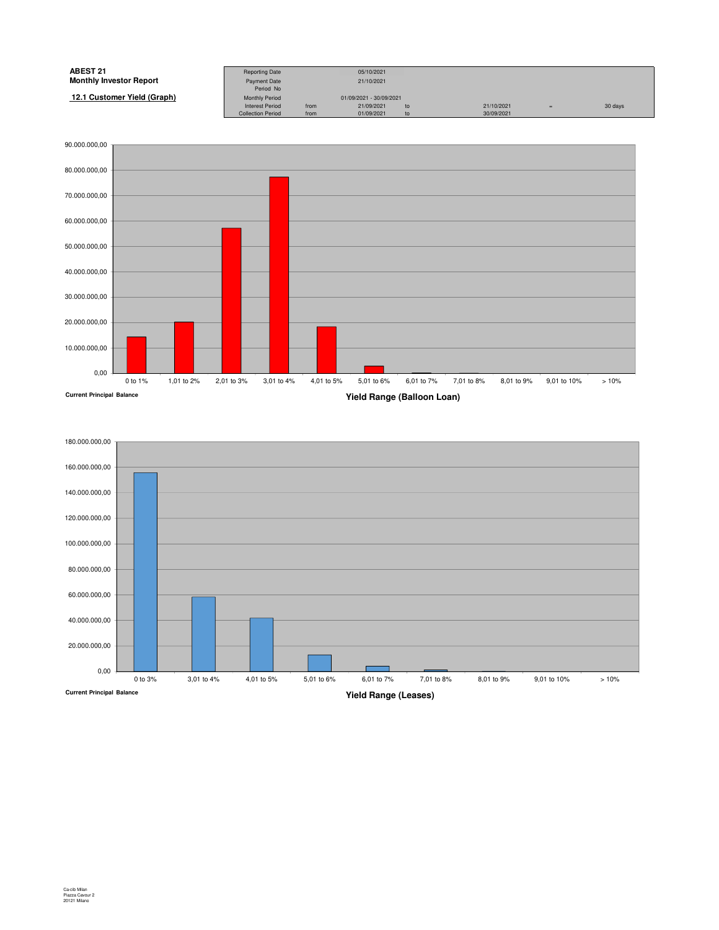| <b>ABEST 21</b>                | <b>Reporting Date</b>    |      | 05/10/2021              |    |            |   |         |
|--------------------------------|--------------------------|------|-------------------------|----|------------|---|---------|
| <b>Monthly Investor Report</b> | Payment Date             |      | 21/10/2021              |    |            |   |         |
|                                | Period No                |      |                         |    |            |   |         |
| 12.1 Customer Yield (Graph)    | <b>Monthly Period</b>    |      | 01/09/2021 - 30/09/2021 |    |            |   |         |
|                                | <b>Interest Period</b>   | from | 21/09/2021              | to | 21/10/2021 | Ξ | 30 days |
|                                | <b>Collection Period</b> | from | 01/09/2021              | to | 30/09/2021 |   |         |



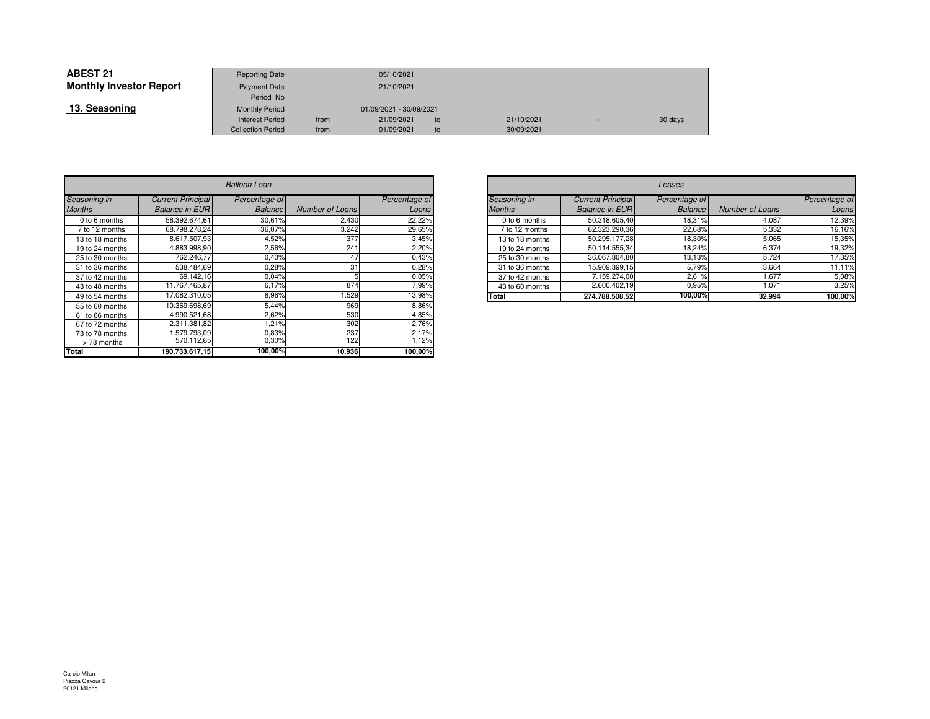| <b>ABEST 21</b>                | <b>Reporting Date</b>    |      | 05/10/2021              |     |            |     |         |
|--------------------------------|--------------------------|------|-------------------------|-----|------------|-----|---------|
| <b>Monthly Investor Report</b> | <b>Payment Date</b>      |      | 21/10/2021              |     |            |     |         |
|                                | Period No                |      |                         |     |            |     |         |
| 13. Seasoning                  | <b>Monthly Period</b>    |      | 01/09/2021 - 30/09/2021 |     |            |     |         |
|                                | <b>Interest Period</b>   | from | 21/09/2021              | to  | 21/10/2021 | $=$ | 30 days |
|                                | <b>Collection Period</b> | from | 01/09/2021              | to. | 30/09/2021 |     |         |

|                 | Balloon Loan             |                |                        |               |  |  |  |  |  |
|-----------------|--------------------------|----------------|------------------------|---------------|--|--|--|--|--|
| Seasoning in    | <b>Current Principal</b> | Percentage of  |                        | Percentage of |  |  |  |  |  |
| <b>Months</b>   | <b>Balance in EUR</b>    | <b>Balance</b> | <b>Number of Loans</b> | Loans         |  |  |  |  |  |
| 0 to 6 months   | 58.392.674.61            | 30,61%         | 2.430                  | 22,22%        |  |  |  |  |  |
| 7 to 12 months  | 68.798.278.24            | 36,07%         | 3.242                  | 29,65%        |  |  |  |  |  |
| 13 to 18 months | 8.617.507,93             | 4,52%          | 377                    | 3,45%         |  |  |  |  |  |
| 19 to 24 months | 4.883.998.90             | 2,56%          | 241                    | 2,20%         |  |  |  |  |  |
| 25 to 30 months | 762.246.77               | 0,40%          | 47                     | 0,43%         |  |  |  |  |  |
| 31 to 36 months | 538.484,69               | 0,28%          | 31                     | 0,28%         |  |  |  |  |  |
| 37 to 42 months | 69.142,16                | 0,04%          |                        | 0.05%         |  |  |  |  |  |
| 43 to 48 months | 11.767.465,87            | 6,17%          | 874                    | 7,99%         |  |  |  |  |  |
| 49 to 54 months | 17.082.310,05            | 8,96%          | 1.529                  | 13,98%        |  |  |  |  |  |
| 55 to 60 months | 10.369.698.69            | 5,44%          | 969                    | 8,86%         |  |  |  |  |  |
| 61 to 66 months | 4.990.521,68             | 2,62%          | 530                    | 4,85%         |  |  |  |  |  |
| 67 to 72 months | 2.311.381,82             | 1,21%          | 302                    | 2,76%         |  |  |  |  |  |
| 73 to 78 months | 1.579.793.09             | 0,83%          | 237                    | 2,17%         |  |  |  |  |  |
| > 78 months     | 5/0.112,65               | $0,30\%$       | 122                    | 1,12%         |  |  |  |  |  |
| <b>Total</b>    | 190.733.617,15           | 100,00%        | 10.936                 | 100,00%       |  |  |  |  |  |

| n        |                 |               |               | Leases          |                          |                |                 |               |  |
|----------|-----------------|---------------|---------------|-----------------|--------------------------|----------------|-----------------|---------------|--|
| ge of    |                 | Percentage of |               | Seasoning in    | <b>Current Principal</b> | Percentage of  |                 | Percentage of |  |
| ance     | Number of Loans | Loans         | <b>Months</b> |                 | <b>Balance in EUR</b>    | <b>Balance</b> | Number of Loans | Loans         |  |
| 0,61%    | 2.430           | 22,22%        |               | 0 to 6 months   | 50.318.605,40            | 18.31%         | 4.087           | 12,39%        |  |
| $0.07\%$ | 3.242           | 29,65%        |               | 7 to 12 months  | 62.323.290,36            | 22.68%         | 5.332           | 16,16%        |  |
| ,52%     | 377             | 3,45%         |               | 13 to 18 months | 50.295.177.28            | 18,30%         | 5.065           | 15,35%        |  |
| 2,56%    | 241             | 2,20%         |               | 19 to 24 months | 50.114.555,34            | 18,24%         | 6.374           | 19,32%        |  |
| ,40%     | 47              | 0,43%         |               | 25 to 30 months | 36.067.804,80            | 13,13%         | 5.724           | 17,35%        |  |
| ,28%     | 31              | 0,28%         |               | 31 to 36 months | 15.909.399,15            | 5,79%          | 3.664           | 11,11%        |  |
| 0,04%    |                 | 0.05%         |               | 37 to 42 months | 7.159.274,00             | 2,61%          | 1.677           | 5,08%         |  |
| ,17%     | 874             | ,99%          |               | 43 to 60 months | 2.600.402,19             | 0,95%          | 1.071           | 3,25%         |  |
| 3,96%    | .529            | 13,98%        | Total         |                 | 274.788.508,52           | 100,00%        | 32.994          | 100,00%       |  |
| $-1121$  | $\sim$          | 0.0001        |               |                 |                          |                |                 |               |  |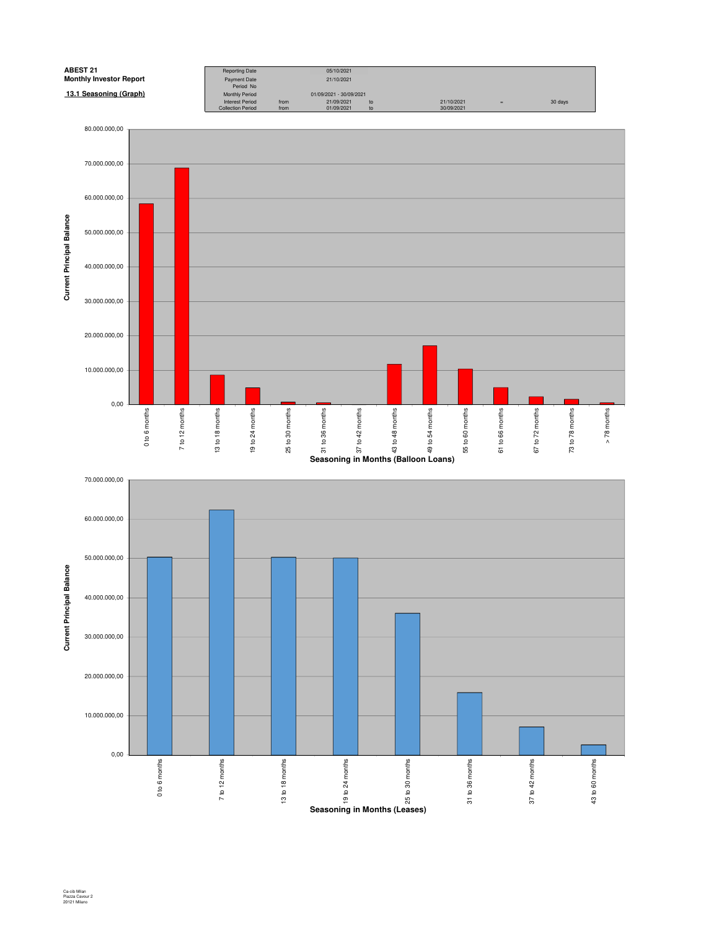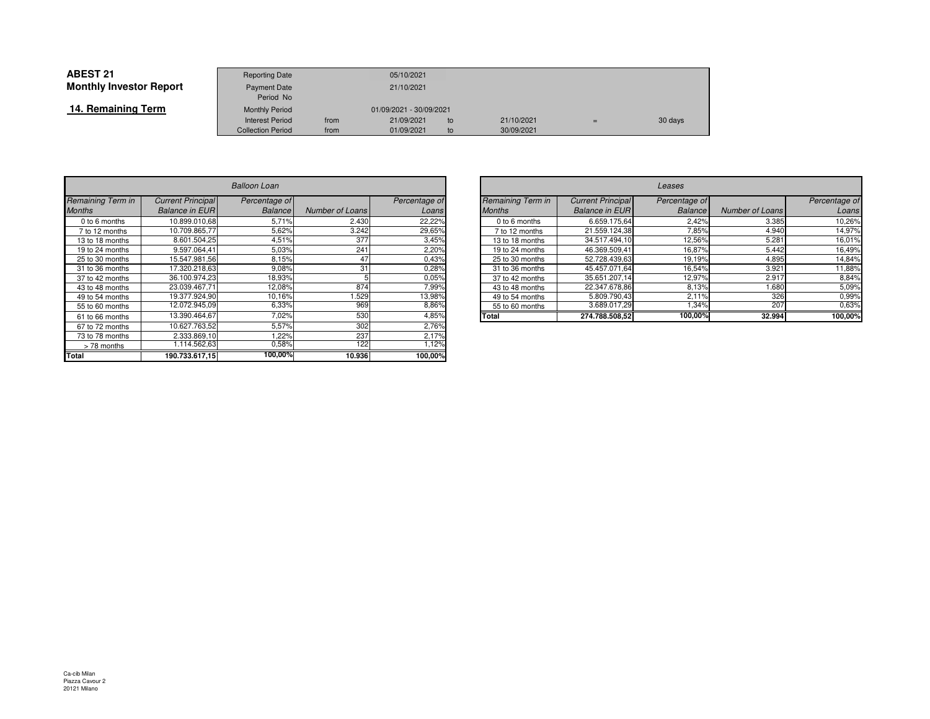| <b>ABEST 21</b>                | <b>Reporting Date</b>              |      | 05/10/2021              |    |            |     |         |
|--------------------------------|------------------------------------|------|-------------------------|----|------------|-----|---------|
| <b>Monthly Investor Report</b> | Payment Date                       |      | 21/10/2021              |    |            |     |         |
| 14. Remaining Term             | Period No<br><b>Monthly Period</b> |      | 01/09/2021 - 30/09/2021 |    |            |     |         |
|                                | <b>Interest Period</b>             | from | 21/09/2021              | to | 21/10/2021 | $=$ | 30 days |
|                                | <b>Collection Period</b>           | from | 01/09/2021              | to | 30/09/2021 |     |         |

|                   | <b>Balloon Loan</b>      |               |                        |               |  |  |  |  |  |
|-------------------|--------------------------|---------------|------------------------|---------------|--|--|--|--|--|
| Remaining Term in | <b>Current Principal</b> | Percentage of |                        | Percentage of |  |  |  |  |  |
| <b>Months</b>     | <b>Balance in EUR</b>    | Balance       | <b>Number of Loans</b> | Loans         |  |  |  |  |  |
| 0 to 6 months     | 10.899.010.68            | 5,71%         | 2.430                  | 22,22%        |  |  |  |  |  |
| 7 to 12 months    | 10.709.865,77            | 5,62%         | 3.242                  | 29,65%        |  |  |  |  |  |
| 13 to 18 months   | 8.601.504,25             | 4,51%         | 377                    | 3,45%         |  |  |  |  |  |
| 19 to 24 months   | 9.597.064.41             | 5,03%         | 241                    | 2,20%         |  |  |  |  |  |
| 25 to 30 months   | 15.547.981.56            | 8,15%         | 47                     | 0,43%         |  |  |  |  |  |
| 31 to 36 months   | 17.320.218,63            | 9,08%         | 31                     | 0,28%         |  |  |  |  |  |
| 37 to 42 months   | 36.100.974,23            | 18,93%        | 5                      | 0,05%         |  |  |  |  |  |
| 43 to 48 months   | 23.039.467,71            | 12,08%        | 874                    | 7,99%         |  |  |  |  |  |
| 49 to 54 months   | 19.377.924.90            | 10,16%        | 1.529                  | 13,98%        |  |  |  |  |  |
| 55 to 60 months   | 12.072.945,09            | 6,33%         | 969                    | 8,86%         |  |  |  |  |  |
| 61 to 66 months   | 13.390.464,67            | 7,02%         | 530                    | 4,85%         |  |  |  |  |  |
| 67 to 72 months   | 10.627.763.52            | 5,57%         | 302                    | 2,76%         |  |  |  |  |  |
| 73 to 78 months   | 2.333.869,10             | 1,22%         | 237                    | 2,17%         |  |  |  |  |  |
| >78 months        | 1.114.562,63             | 0,58%         | 122                    | 1,12%         |  |  |  |  |  |
| Total             | 190.733.617,15           | 100,00%       | 10.936                 | 100,00%       |  |  |  |  |  |

| $\overline{r}$ |                 |               |              | Leases                   |                          |                |                 |               |  |  |
|----------------|-----------------|---------------|--------------|--------------------------|--------------------------|----------------|-----------------|---------------|--|--|
| ge of          |                 | Percentage of |              | <b>Remaining Term in</b> | <b>Current Principal</b> | Percentage of  |                 | Percentage of |  |  |
| ance           | Number of Loans | Loans         |              | <b>Months</b>            | <b>Balance in EUR</b>    | <b>Balance</b> | Number of Loans | Loans         |  |  |
| 5,71%          | 2.430           | 22,22%        |              | 0 to 6 months            | 6.659.175.64             | 2.42%          | 3.385           | 10,26%        |  |  |
| 5,62%          | 3.242           | 29,65%        |              | 7 to 12 months           | 21.559.124,38            | 7,85%          | 4.940           | 14,97%        |  |  |
| I,51%          | 377             | 3,45%         |              | 13 to 18 months          | 34.517.494.10            | 12,56%         | 5.281           | 16,01%        |  |  |
| 5,03%          | 241             | 2,20%         |              | 19 to 24 months          | 46.369.509,41            | 16,87%         | 5.442           | 16,49%        |  |  |
| 3,15%          | 47              | 0,43%         |              | 25 to 30 months          | 52.728.439.63            | 19.19%         | 4.895           | 14,84%        |  |  |
| ,08%           | 31              | 0,28%         |              | 31 to 36 months          | 45.457.071,64            | 16,54%         | 3.921           | 11,88%        |  |  |
| 3,93%          |                 | 0,05%         |              | 37 to 42 months          | 35.651.207.14            | 12.97%         | 2.917           | 8,84%         |  |  |
| 2,08%          | 874             | 7,99%         |              | 43 to 48 months          | 22.347.678.86            | 8,13%          | 1.680           | 5,09%         |  |  |
| ,16%           | .529            | 13,98%        |              | 49 to 54 months          | 5.809.790.43             | 2.11%          | 326             | 0,99%         |  |  |
| 5,33%          | 969             | 8,86%         |              | 55 to 60 months          | 3.689.017.29             | ,34%           | 207             | 0.63%         |  |  |
| $0.02\%$       | 530             | 4,85%         | <b>Total</b> |                          | 274.788.508,52           | 100,00%        | 32.994          | 100,00%       |  |  |
| .              | $- - -$         | ----          |              |                          |                          |                |                 |               |  |  |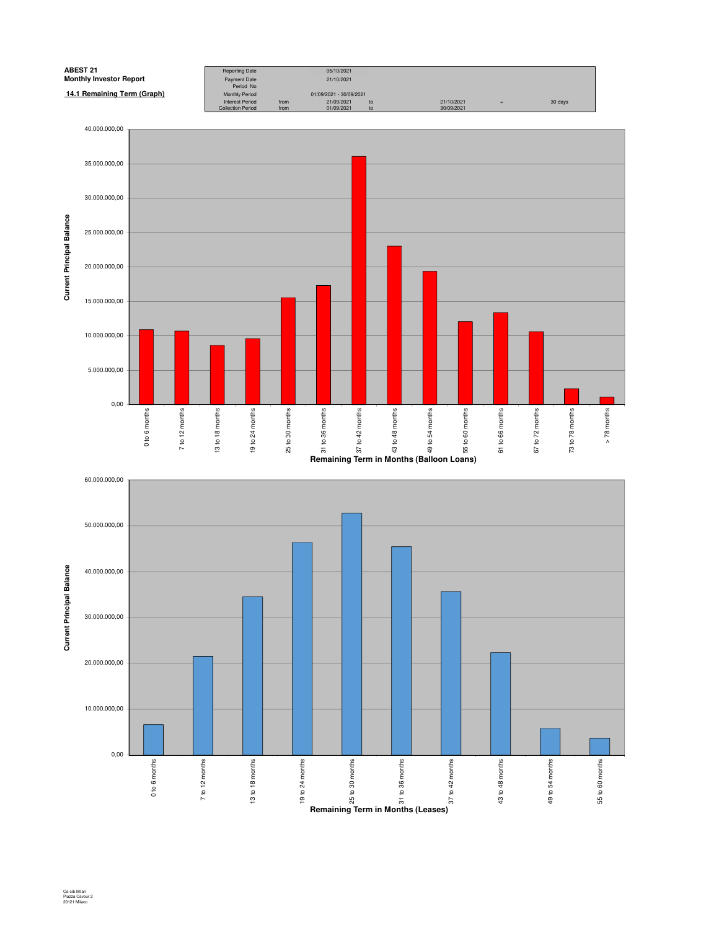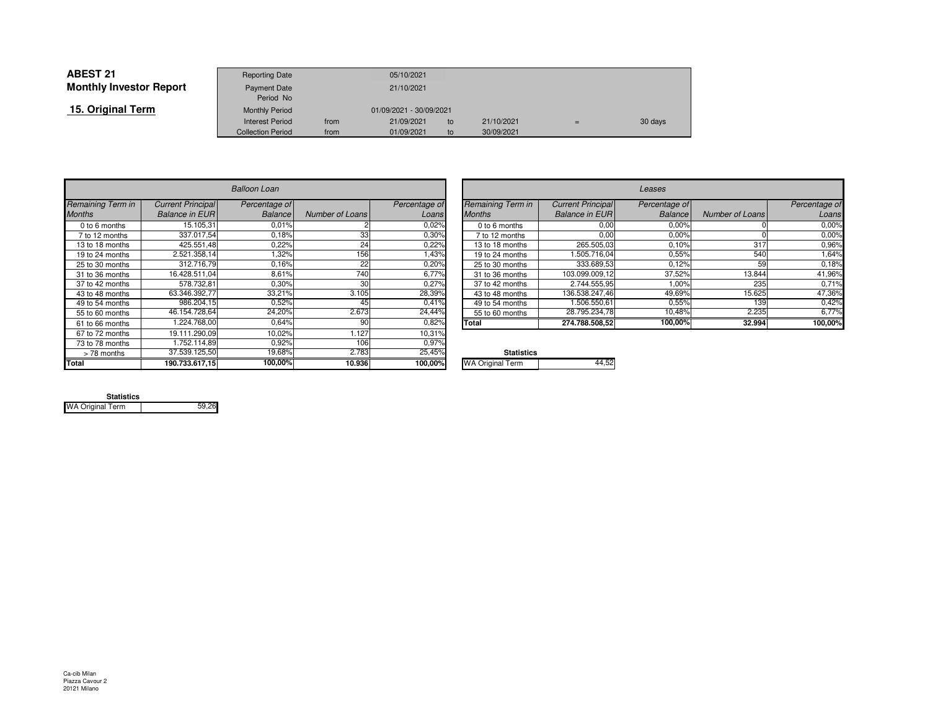| <b>ABEST 21</b>                | <b>Reporting Date</b>     |      | 05/10/2021              |    |            |     |         |
|--------------------------------|---------------------------|------|-------------------------|----|------------|-----|---------|
| <b>Monthly Investor Report</b> | Payment Date<br>Period No |      | 21/10/2021              |    |            |     |         |
| 15. Original Term              | <b>Monthly Period</b>     |      | 01/09/2021 - 30/09/2021 |    |            |     |         |
|                                | Interest Period           | from | 21/09/2021              | to | 21/10/2021 | $=$ | 30 days |
|                                | <b>Collection Period</b>  | from | 01/09/2021              | to | 30/09/2021 |     |         |

|                   |                          | <b>Balloon Loan</b> |                 |               |                         |
|-------------------|--------------------------|---------------------|-----------------|---------------|-------------------------|
| Remaining Term in | <b>Current Principal</b> | Percentage of       |                 | Percentage of | Remaining Term in       |
| <b>Months</b>     | <b>Balance in EUR</b>    | Balance             | Number of Loans | Loans         | <b>Months</b>           |
| $0$ to 6 months   | 15.105.31                | 0.01%               |                 | 0.02%         | 0 to 6 months           |
| 7 to 12 months    | 337.017.54               | 0.18%               | 33              | 0.30%         | 7 to 12 months          |
| 13 to 18 months   | 425.551.48               | 0,22%               | 24              | 0,22%         | 13 to 18 months         |
| 19 to 24 months   | 2.521.358,14             | 1,32%               | 156             | 1,43%         | 19 to 24 months         |
| 25 to 30 months   | 312.716,79               | 0.16%               | 22              | 0,20%         | 25 to 30 months         |
| 31 to 36 months   | 16.428.511.04            | 8.61%               | 740             | 6.77%         | 31 to 36 months         |
| 37 to 42 months   | 578.732.81               | 0,30%               | 30              | 0,27%         | 37 to 42 months         |
| 43 to 48 months   | 63.346.392,77            | 33,21%              | 3.105           | 28,39%        | 43 to 48 months         |
| 49 to 54 months   | 986.204.15               | 0,52%               | 45              | 0.41%         | 49 to 54 months         |
| 55 to 60 months   | 46.154.728,64            | 24,20%              | 2.673           | 24,44%        | 55 to 60 months         |
| 61 to 66 months   | 1.224.768.00             | 0,64%               | 90              | 0,82%         | Total                   |
| 67 to 72 months   | 19.111.290.09            | 10.02%              | 1.127           | 10,31%        |                         |
| 73 to 78 months   | 1.752.114.89             | 0.92%               | 106             | 0.97%         |                         |
| > 78 months       | 37.539.125,50            | 19,68%              | 2.783           | 25,45%        | <b>Statistics</b>       |
| <b>Total</b>      | 190.733.617,15           | 100,00%             | 10.936          | 100,00%       | <b>WA Original Term</b> |

| n      |                 |               |                          |                          | Leases         |                 |               |
|--------|-----------------|---------------|--------------------------|--------------------------|----------------|-----------------|---------------|
| ge of  |                 | Percentage of | <b>Remaining Term in</b> | <b>Current Principal</b> | Percentage of  |                 | Percentage of |
| ance   | Number of Loans | Loans         | <b>Months</b>            | <b>Balance in EUR</b>    | <b>Balance</b> | Number of Loans | Loans         |
| ,01%   |                 | 0.02%         | 0 to 6 months            | 0,00                     | 0,00%          |                 | 0,00%         |
| ,18%   | 33              | 0.30%         | 7 to 12 months           | 0,00                     | 0,00%          |                 | 0,00%         |
| ,22%   | 24              | 0,22%         | 13 to 18 months          | 265.505.03               | 0,10%          | 317             | 0,96%         |
| ,32%   | 156             | <b>43%</b>    | 19 to 24 months          | .505.716.04              | 0,55%          | 540             | 1,64%         |
| 16%    | 22              | 0.20%         | 25 to 30 months          | 333.689.53               | 0,12%          | 59              | 0,18%         |
| 3,61%  | 740             | 6,77%         | 31 to 36 months          | 103.099.009.12           | 37,52%         | 13.844          | 41,96%        |
| ,30%   | 30              | 0,27%         | 37 to 42 months          | 2.744.555,95             | 1,00%          | 235             | 0,71%         |
| 3,21%  | 3.105           | 28,39%        | 43 to 48 months          | 136.538.247.46           | 49,69%         | 15.625          | 47,36%        |
| ,52%   | 45              | 0.41%         | 49 to 54 months          | 1.506.550.61             | 0.55%          | 139             | 0,42%         |
| ,20%   | 2.673           | 24,44%        | 55 to 60 months          | 28.795.234,78            | 10,48%         | 2.235           | 6,77%         |
| 0.64%  | 90              | 0,82%         | <b>Total</b>             | 274.788.508,52           | 100,00%        | 32.994          | 100,00%       |
| 0.0001 | $\cdot$ $\sim$  | 1000          |                          |                          |                |                 |               |

| ℅ | <b>Statistics</b>       |  |
|---|-------------------------|--|
| % | <b>WA Original Term</b> |  |
|   |                         |  |

| <b>Statistics</b>       |       |
|-------------------------|-------|
| <b>WA Original Term</b> | 59.26 |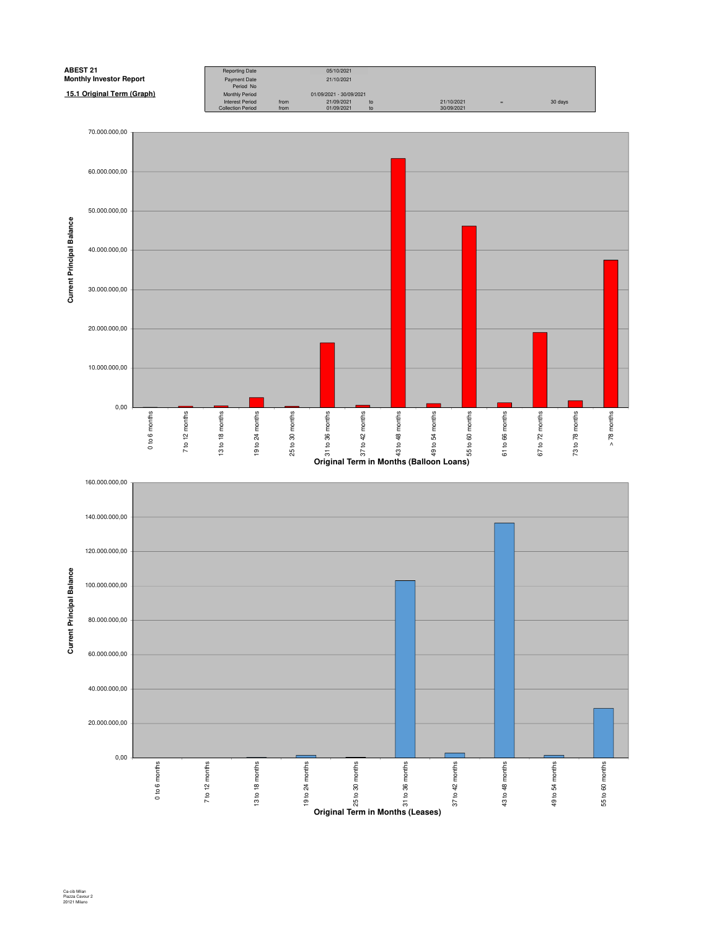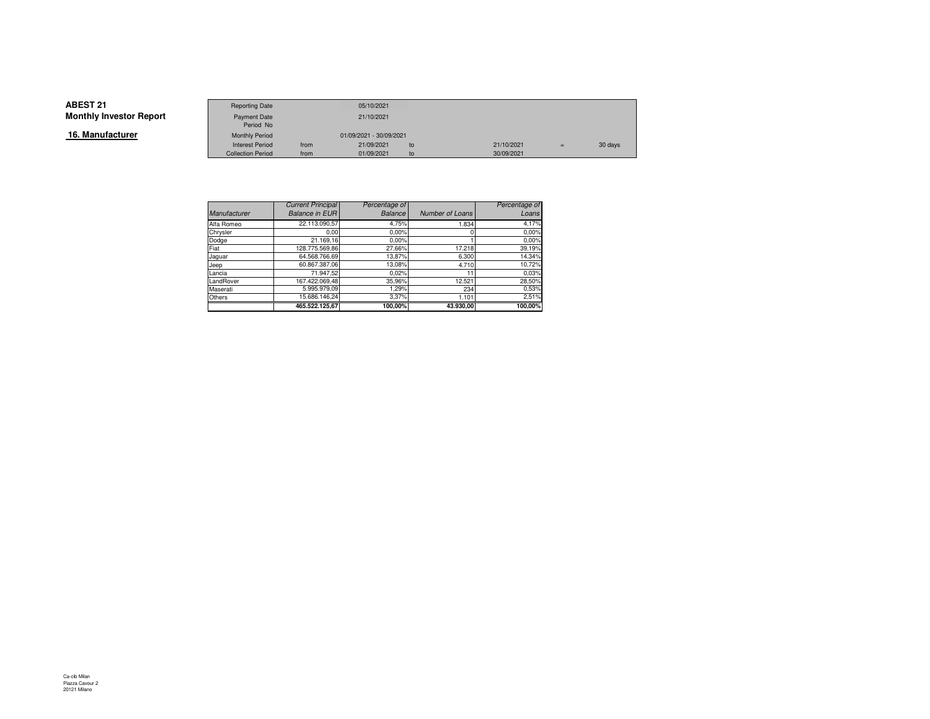**16. Manufacturer**

|                 | <b>Reporting Date</b>    |      | 05/10/2021              |    |            |     |         |
|-----------------|--------------------------|------|-------------------------|----|------------|-----|---------|
|                 |                          |      |                         |    |            |     |         |
| Investor Report | Payment Date             |      | 21/10/2021              |    |            |     |         |
|                 | Period No                |      |                         |    |            |     |         |
| ufacturer       | <b>Monthly Period</b>    |      | 01/09/2021 - 30/09/2021 |    |            |     |         |
|                 | <b>Interest Period</b>   | from | 21/09/2021              | to | 21/10/2021 | $=$ | 30 days |
|                 | <b>Collection Period</b> | from | 01/09/2021              | to | 30/09/2021 |     |         |

|                     | <b>Current Principal</b> | Percentage of |                 | Percentage of |
|---------------------|--------------------------|---------------|-----------------|---------------|
| <b>Manufacturer</b> | <b>Balance in EUR</b>    | Balance       | Number of Loans | Loans         |
| Alfa Romeo          | 22.113.090,57            | 4,75%         | 1.834           | 4,17%         |
| Chrysler            | 0.00                     | 0.00%         |                 | 0.00%         |
| Dodge               | 21.169,16                | 0.00%         |                 | 0.00%         |
| Fiat                | 128.775.569,86           | 27,66%        | 17.218          | 39,19%        |
| Jaguar              | 64.568.766.69            | 13,87%        | 6.300           | 14,34%        |
| Jeep                | 60.867.387.06            | 13,08%        | 4.710           | 10,72%        |
| Lancia              | 71.947,52                | 0.02%         |                 | 0.03%         |
| LandRover           | 167.422.069.48           | 35,96%        | 12.521          | 28,50%        |
| Maserati            | 5.995.979.09             | 1.29%         | 234             | 0,53%         |
| Others              | 15.686.146.24            | 3.37%         | 1.101           | 2,51%         |
|                     | 465.522.125.67           | 100,00%       | 43.930,00       | 100,00%       |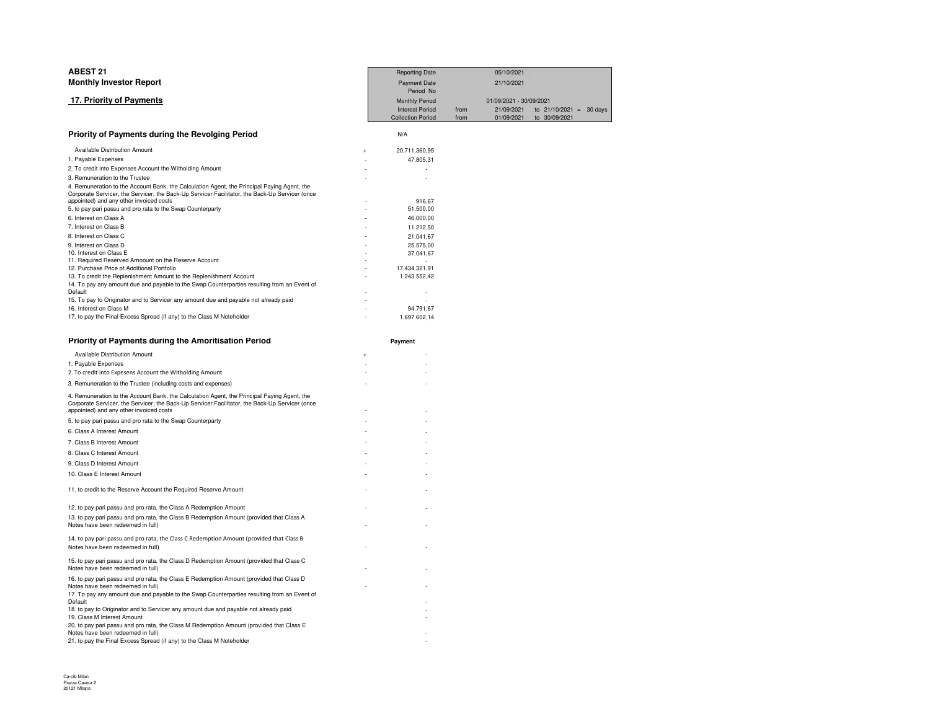| <b>ABEST 21</b>                                                                                                                                                                               | <b>Reporting Date</b>    |      | 05/10/2021              |                           |  |
|-----------------------------------------------------------------------------------------------------------------------------------------------------------------------------------------------|--------------------------|------|-------------------------|---------------------------|--|
| <b>Monthly Investor Report</b>                                                                                                                                                                | <b>Payment Date</b>      |      | 21/10/2021              |                           |  |
|                                                                                                                                                                                               | Period No                |      |                         |                           |  |
| 17. Priority of Payments                                                                                                                                                                      | Monthly Period           |      | 01/09/2021 - 30/09/2021 |                           |  |
|                                                                                                                                                                                               | <b>Interest Period</b>   | from | 21/09/2021              | to $21/10/2021 = 30$ days |  |
|                                                                                                                                                                                               | <b>Collection Period</b> | from | 01/09/2021              | to 30/09/2021             |  |
| Priority of Payments during the Revolging Period                                                                                                                                              | N/A                      |      |                         |                           |  |
| Available Distribution Amount                                                                                                                                                                 | 20.711.360,95            |      |                         |                           |  |
| 1. Payable Expenses                                                                                                                                                                           | 47.805,31                |      |                         |                           |  |
| 2. To credit into Expenses Account the Witholding Amount                                                                                                                                      |                          |      |                         |                           |  |
| 3. Remuneration to the Trustee                                                                                                                                                                |                          |      |                         |                           |  |
| 4. Remuneration to the Account Bank, the Calculation Agent, the Principal Paying Agent, the                                                                                                   |                          |      |                         |                           |  |
| Corporate Servicer, the Servicer, the Back-Up Servicer Facilitator, the Back-Up Servicer (once                                                                                                |                          |      |                         |                           |  |
| appointed) and any other invoiced costs<br>5. to pay pari passu and pro rata to the Swap Counterparty                                                                                         | 916,67                   |      |                         |                           |  |
| 6. Interest on Class A                                                                                                                                                                        | 51.500,00                |      |                         |                           |  |
|                                                                                                                                                                                               | 46.000,00                |      |                         |                           |  |
| 7. Interest on Class B                                                                                                                                                                        | 11.212,50                |      |                         |                           |  |
| 8. Interest on Class C                                                                                                                                                                        | 21.041,67                |      |                         |                           |  |
| 9. Interest on Class D<br>10. Interest on Class E                                                                                                                                             | 25.575,00<br>37.041,67   |      |                         |                           |  |
| 11. Required Reserved Amoount on the Reserve Account                                                                                                                                          |                          |      |                         |                           |  |
| 12. Purchase Price of Additional Portfolio                                                                                                                                                    | 17.434.321,91            |      |                         |                           |  |
| 13. To credit the Replenishment Amount to the Replenishment Account                                                                                                                           | 1.243.552,42             |      |                         |                           |  |
| 14. To pay any amount due and payable to the Swap Counterparties resulting from an Event of                                                                                                   |                          |      |                         |                           |  |
| Default                                                                                                                                                                                       |                          |      |                         |                           |  |
| 15. To pay to Originator and to Servicer any amount due and payable not already paid                                                                                                          |                          |      |                         |                           |  |
| 16. Interest on Class M                                                                                                                                                                       | 94.791,67                |      |                         |                           |  |
| 17. to pay the Final Excess Spread (if any) to the Class M Noteholder                                                                                                                         | 1.697.602,14             |      |                         |                           |  |
| Priority of Payments during the Amoritisation Period                                                                                                                                          | Payment                  |      |                         |                           |  |
| Available Distribution Amount<br>$\ddot{}$                                                                                                                                                    |                          |      |                         |                           |  |
| 1. Payable Expenses                                                                                                                                                                           |                          |      |                         |                           |  |
| 2. To credit into Expesens Account the Witholding Amount                                                                                                                                      |                          |      |                         |                           |  |
| 3. Remuneration to the Trustee (including costs and expenses)                                                                                                                                 |                          |      |                         |                           |  |
|                                                                                                                                                                                               |                          |      |                         |                           |  |
| 4. Remuneration to the Account Bank, the Calculation Agent, the Principal Paying Agent, the<br>Corporate Servicer, the Servicer, the Back-Up Servicer Facilitator, the Back-Up Servicer (once |                          |      |                         |                           |  |
| appointed) and any other invoiced costs                                                                                                                                                       |                          |      |                         |                           |  |
| 5. to pay pari passu and pro rata to the Swap Counterparty                                                                                                                                    |                          |      |                         |                           |  |
| 6. Class A Interest Amount                                                                                                                                                                    |                          |      |                         |                           |  |
| 7. Class B Interest Amount                                                                                                                                                                    |                          |      |                         |                           |  |
| 8. Class C Interest Amount                                                                                                                                                                    |                          |      |                         |                           |  |
| 9. Class D Interest Amount                                                                                                                                                                    |                          |      |                         |                           |  |
| 10. Class E Interest Amount                                                                                                                                                                   |                          |      |                         |                           |  |
|                                                                                                                                                                                               |                          |      |                         |                           |  |
| 11. to credit to the Reserve Account the Required Reserve Amount                                                                                                                              |                          |      |                         |                           |  |
| 12. to pay pari passu and pro rata, the Class A Redemption Amount                                                                                                                             |                          |      |                         |                           |  |
| 13. to pay pari passu and pro rata, the Class B Redemption Amount (provided that Class A                                                                                                      |                          |      |                         |                           |  |
| Notes have been redeemed in full)                                                                                                                                                             |                          |      |                         |                           |  |
| 14. to pay pari passu and pro rata, the Class C Redemption Amount (provided that Class B                                                                                                      |                          |      |                         |                           |  |
| Notes have been redeemed in full)                                                                                                                                                             |                          |      |                         |                           |  |
|                                                                                                                                                                                               |                          |      |                         |                           |  |

 $\sim$ 

 $\sim$ 

15. to pay pari passu and pro rata, the Class D Redemption Amount (provided that Class C Notes have been redeemed in full) - -16. to pay pari passu and pro rata, the Class E Redemption Amount (provided that Class D Notes have been redeemed in full) - -17. To pay any amount due and payable to the Swap Counterparties resulting from an Event of Default -<br>18. to pay to Originator and to Servicer any amount due and payable not already paid<br>19. Class M Interest Amount - $\overline{a}$  -  $\overline{a}$  -  $\overline{a}$  -  $\overline{a}$  -  $\overline{a}$  -  $\overline{a}$  -  $\overline{a}$  -  $\overline{a}$  -  $\overline{a}$  -  $\overline{a}$  -  $\overline{a}$  -  $\overline{a}$  -  $\overline{a}$  -  $\overline{a}$  -  $\overline{a}$  -  $\overline{a}$  -  $\overline{a}$  -  $\overline{a}$  -  $\overline{a}$  -  $\overline{a}$  - 20. to pay pari passu and pro rata, the Class M Redemption Amount (provided that Class E Notes have been redeemed in full) -

21. to pay the Final Excess Spread (if any) to the Class M Noteholder-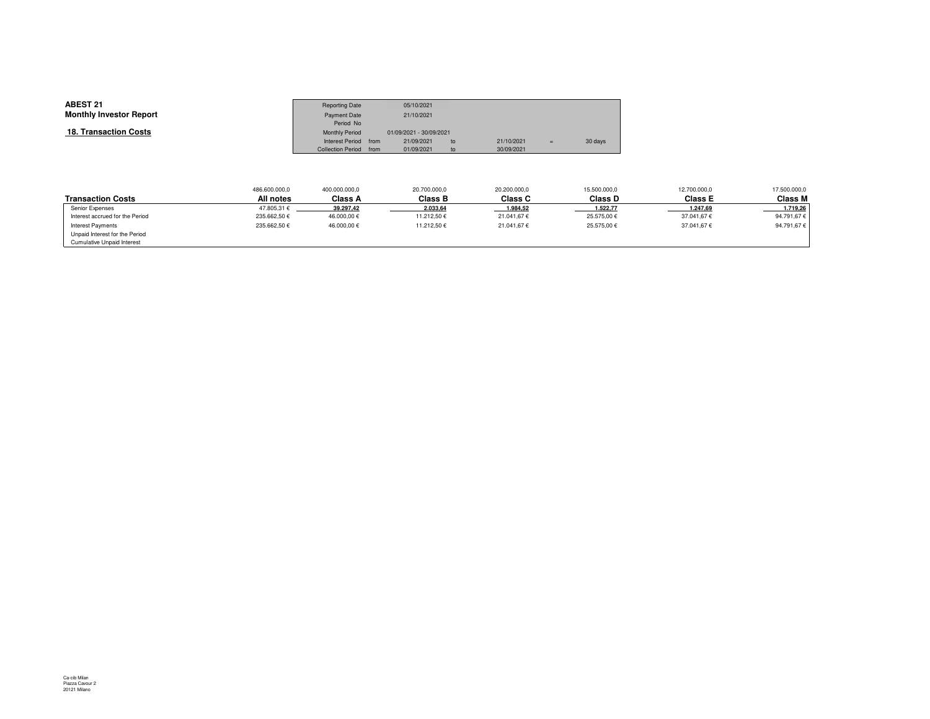| <b>ABEST 21</b><br><b>Monthly Investor Report</b> | <b>Reporting Date</b><br><b>Payment Date</b><br>Period No |      | 05/10/2021<br>21/10/2021              |    |            |     |         |
|---------------------------------------------------|-----------------------------------------------------------|------|---------------------------------------|----|------------|-----|---------|
| <b>18. Transaction Costs</b>                      | <b>Monthly Period</b><br>Interest Period                  | from | 01/09/2021 - 30/09/2021<br>21/09/2021 | to | 21/10/2021 | $=$ | 30 days |
|                                                   | <b>Collection Period</b>                                  | from | 01/09/2021                            | to | 30/09/2021 |     |         |

|                                   | 486.600.000,0 | 400.000.000,0 | 20.700.000,0   | 20,200,000.0   | 15.500.000,0 | 12.700.000,0   | 17.500.000,0 |
|-----------------------------------|---------------|---------------|----------------|----------------|--------------|----------------|--------------|
| <b>Transaction Costs</b>          | All notes     | Class A       | <b>Class B</b> | <b>Class C</b> | Class D      | <b>Class E</b> | Class M      |
| Senior Expenses                   | 47.805.31 €   | 39.297,42     | 2.033,64       | 1.984,52       | 1.522,77     | 1.247,69       | 1.719,26     |
| Interest accrued for the Period   | 235.662,50€   | 46.000.00€    | 11.212.50€     | 21.041.67€     | 25.575.00€   | 37.041.67€     | 94.791.67€   |
| Interest Payments                 | 235.662.50€   | 46.000.00€    | 11.212.50€     | 21.041.67€     | 25.575.00€   | 37.041.67€     | 94.791,67€   |
| Unpaid Interest for the Period    |               |               |                |                |              |                |              |
| <b>Cumulative Unpaid Interest</b> |               |               |                |                |              |                |              |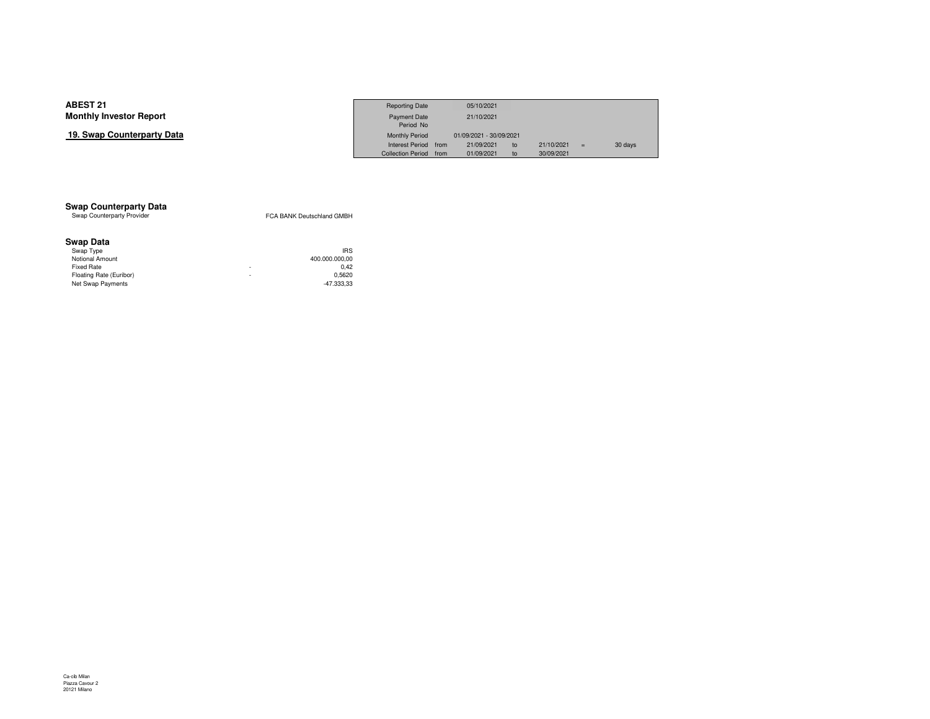### **19. Swap Counterparty Data**

|                     | <b>Reporting Date</b>  | 05/10/2021              |    |            |     |         |
|---------------------|------------------------|-------------------------|----|------------|-----|---------|
| Investor Report     | <b>Payment Date</b>    | 21/10/2021              |    |            |     |         |
|                     | Period No              |                         |    |            |     |         |
| Counterparty Data כ | <b>Monthly Period</b>  | 01/09/2021 - 30/09/2021 |    |            |     |         |
|                     | Interest Period from   | 21/09/2021              | to | 21/10/2021 | $=$ | 30 days |
|                     | Collection Period from | 01/09/2021              | to | 30/09/2021 |     |         |

# **Swap Counterparty Data**<br>Swap Counterparty Provider

FCA BANK Deutschland GMBH

### **Swap Data**

| 400.000.000.00 |                      |
|----------------|----------------------|
| 0.42           |                      |
| 0.5620         |                      |
| $-47.333.33$   |                      |
|                | <b>IRS</b><br>۰<br>۰ |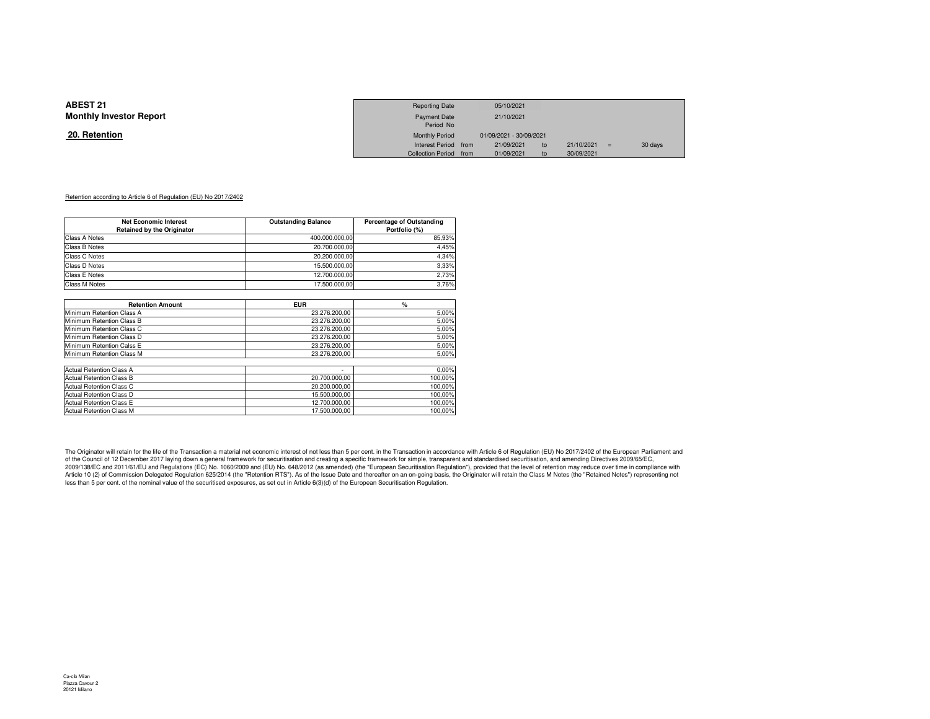#### **20. Retention**

|                 | <b>Reporting Date</b>  | 05/10/2021              |    |            |         |
|-----------------|------------------------|-------------------------|----|------------|---------|
| Investor Report | <b>Payment Date</b>    | 21/10/2021              |    |            |         |
|                 | Period No              |                         |    |            |         |
| <u>ntion</u>    | <b>Monthly Period</b>  | 01/09/2021 - 30/09/2021 |    |            |         |
|                 | Interest Period from   | 21/09/2021              | to | 21/10/2021 | 30 days |
|                 | Collection Period from | 01/09/2021              | to | 30/09/2021 |         |

#### Retention according to Article 6 of Regulation (EU) No 2017/2402

| <b>Net Economic Interest</b>      | <b>Outstanding Balance</b> | <b>Percentage of Outstanding</b> |
|-----------------------------------|----------------------------|----------------------------------|
| <b>Retained by the Originator</b> |                            | Portfolio (%)                    |
| Class A Notes                     | 400.000.000.00             | 85.93%                           |
| Class B Notes                     | 20.700.000.00              | 4.45%                            |
| Class C Notes                     | 20.200.000.00              | 4.34%                            |
| Class D Notes                     | 15.500.000.00              | 3.33%                            |
| Class E Notes                     | 12.700.000.00              | 2.73%                            |
| Class M Notes                     | 17.500.000.00              | 3,76%                            |

| <b>Retention Amount</b>         | <b>EUR</b>    | %       |
|---------------------------------|---------------|---------|
| Minimum Retention Class A       | 23.276.200.00 | 5,00%   |
| Minimum Retention Class B       | 23.276.200.00 | 5,00%   |
| Minimum Retention Class C       | 23.276.200.00 | 5,00%   |
| Minimum Retention Class D       | 23.276.200.00 | 5,00%   |
| Minimum Retention Calss E       | 23.276.200.00 | 5,00%   |
| Minimum Retention Class M       | 23.276.200.00 | 5,00%   |
|                                 |               |         |
| Actual Retention Class A        | ٠             | 0.00%   |
| <b>Actual Retention Class B</b> | 20.700.000.00 | 100,00% |
| Actual Retention Class C        | 20.200.000.00 | 100.00% |
| Actual Retention Class D        | 15.500.000.00 | 100,00% |
| <b>Actual Retention Class E</b> | 12.700.000.00 | 100,00% |
| <b>Actual Retention Class M</b> | 17.500.000.00 | 100.00% |

The Originator will retain for the life of the Transaction a material net economic interest of not less than 5 per cent. in the Transaction in accordance with Article 6 of Regulation (EU) No 2017/2402 of the European Parli 2009/138/EC and 2011/61/EU and Regulations (EC) No. 1060/2009 and (EU) No. 648/2012 (as amended) (the "European Securitisation Regulation"), provided that the level of retention may reduce over time in compliance with Article 10 (2) of Commission Delegated Regulation 625/2014 (the "Retention RTS"). As of the Issue Date and thereafter on an on-going basis, the Originator will retain the Class M Notes (the "Retained Notes") representing n less than 5 per cent. of the nominal value of the securitised exposures, as set out in Article 6(3)(d) of the European Securitisation Regulation.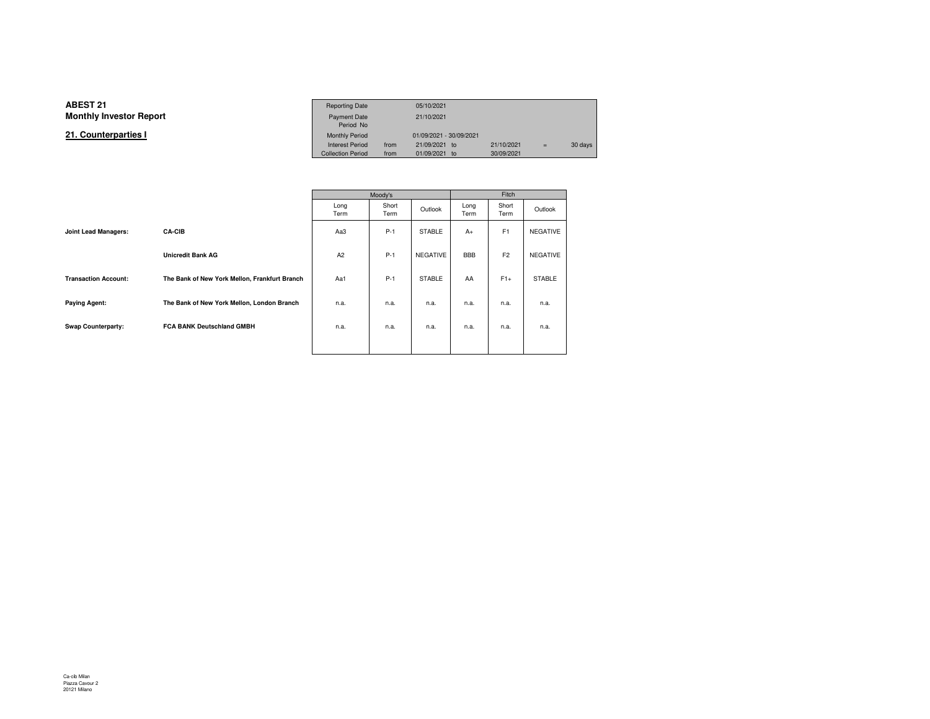**21. Counterparties I**

|                 | <b>Reporting Date</b>    |      | 05/10/2021              |            |     |         |
|-----------------|--------------------------|------|-------------------------|------------|-----|---------|
| Investor Report | Payment Date             |      | 21/10/2021              |            |     |         |
|                 | Period No                |      |                         |            |     |         |
| terparties l    | <b>Monthly Period</b>    |      | 01/09/2021 - 30/09/2021 |            |     |         |
|                 | <b>Interest Period</b>   | from | 21/09/2021 to           | 21/10/2021 | $=$ | 30 days |
|                 | <b>Collection Period</b> | from | 01/09/2021 to           | 30/09/2021 |     |         |

|                             |                                               | Moody's      |               | Fitch           |              |                |                 |
|-----------------------------|-----------------------------------------------|--------------|---------------|-----------------|--------------|----------------|-----------------|
|                             |                                               | Long<br>Term | Short<br>Term | Outlook         | Long<br>Term | Short<br>Term  | Outlook         |
| Joint Lead Managers:        | <b>CA-CIB</b>                                 | Aa3          | $P-1$         | <b>STABLE</b>   | $A+$         | F <sub>1</sub> | <b>NEGATIVE</b> |
|                             | <b>Unicredit Bank AG</b>                      | A2           | $P-1$         | <b>NEGATIVE</b> | <b>BBB</b>   | F <sub>2</sub> | <b>NEGATIVE</b> |
| <b>Transaction Account:</b> | The Bank of New York Mellon, Frankfurt Branch | Aa1          | $P-1$         | <b>STABLE</b>   | AA           | $F1+$          | <b>STABLE</b>   |
| <b>Paying Agent:</b>        | The Bank of New York Mellon, London Branch    | n.a.         | n.a.          | n.a.            | n.a.         | n.a.           | n.a.            |
| <b>Swap Counterparty:</b>   | <b>FCA BANK Deutschland GMBH</b>              | n.a.         | n.a.          | n.a.            | n.a.         | n.a.           | n.a.            |
|                             |                                               |              |               |                 |              |                |                 |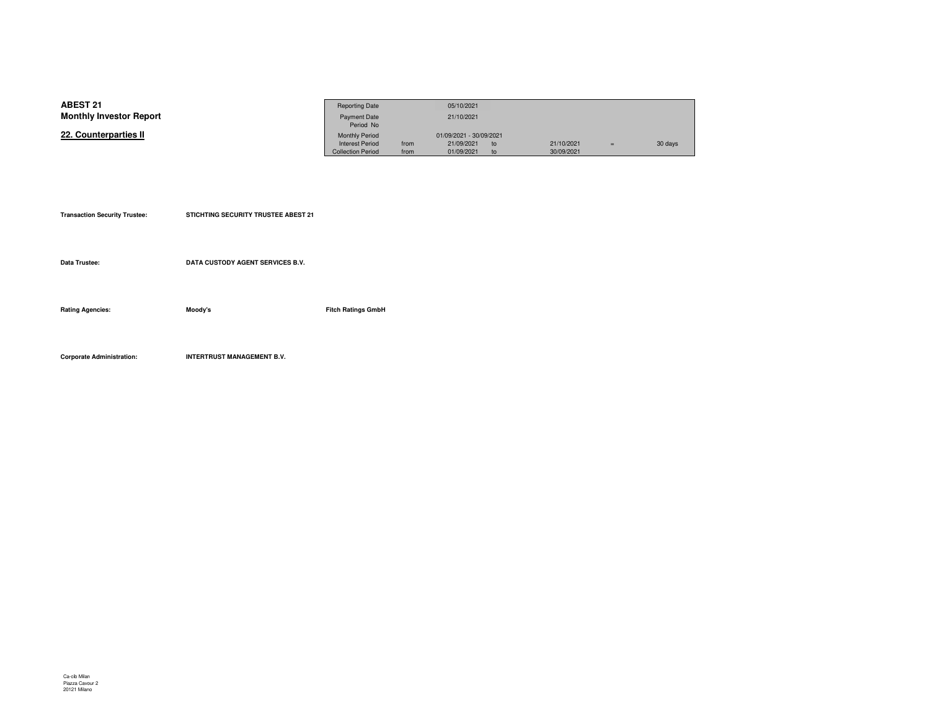| <b>ABEST 21</b>                | <b>Reporting Date</b>    |      | 05/10/2021              |    |            |     |         |
|--------------------------------|--------------------------|------|-------------------------|----|------------|-----|---------|
| <b>Monthly Investor Report</b> | <b>Payment Date</b>      |      | 21/10/2021              |    |            |     |         |
|                                | Period No                |      |                         |    |            |     |         |
| 22. Counterparties II          | <b>Monthly Period</b>    |      | 01/09/2021 - 30/09/2021 |    |            |     |         |
|                                | <b>Interest Period</b>   | from | 21/09/2021              | to | 21/10/2021 | $=$ | 30 days |
|                                | <b>Collection Period</b> | from | 01/09/2021              |    | 30/09/2021 |     |         |

| <b>Transaction Security Trustee:</b> | <b>STICHTING SECURITY TRUSTEE ABEST 21</b> |                           |
|--------------------------------------|--------------------------------------------|---------------------------|
| Data Trustee:                        | DATA CUSTODY AGENT SERVICES B.V.           |                           |
| <b>Rating Agencies:</b>              | Moody's                                    | <b>Fitch Ratings GmbH</b> |
|                                      |                                            |                           |

**Corporate Administration: INTERTRUST MANAGEMENT B.V.**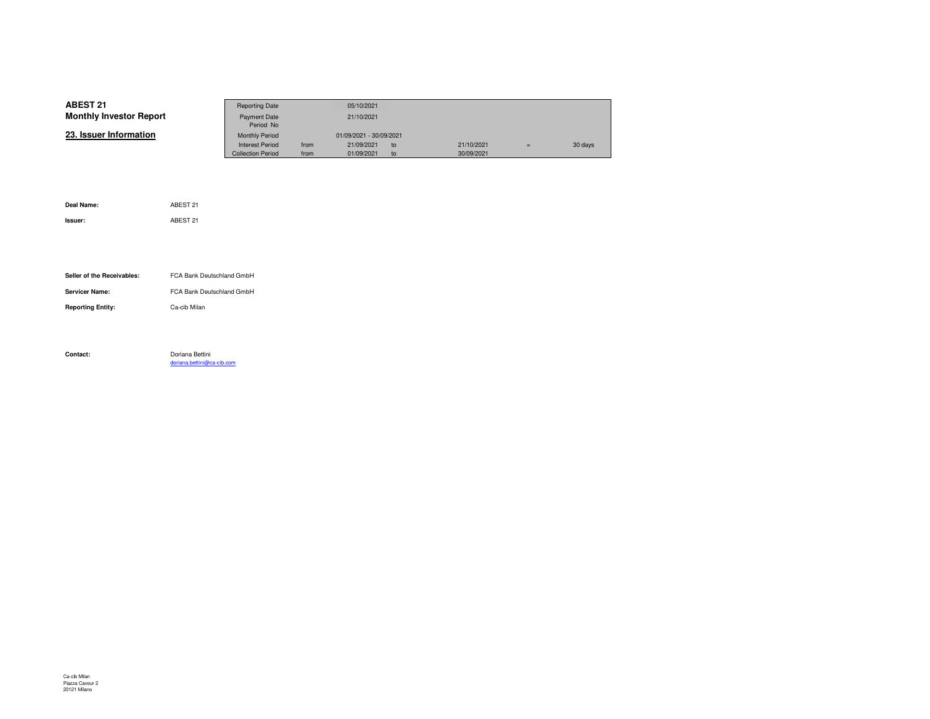| <b>ABEST 21</b>                | <b>Reporting Date</b>    |      | 05/10/2021              |    |            |     |         |
|--------------------------------|--------------------------|------|-------------------------|----|------------|-----|---------|
| <b>Monthly Investor Report</b> | Payment Date             |      | 21/10/2021              |    |            |     |         |
|                                | Period No                |      |                         |    |            |     |         |
| 23. Issuer Information         | <b>Monthly Period</b>    |      | 01/09/2021 - 30/09/2021 |    |            |     |         |
|                                | <b>Interest Period</b>   | from | 21/09/2021              | to | 21/10/2021 | $=$ | 30 days |
|                                | <b>Collection Period</b> | from | 01/09/2021              | to | 30/09/2021 |     |         |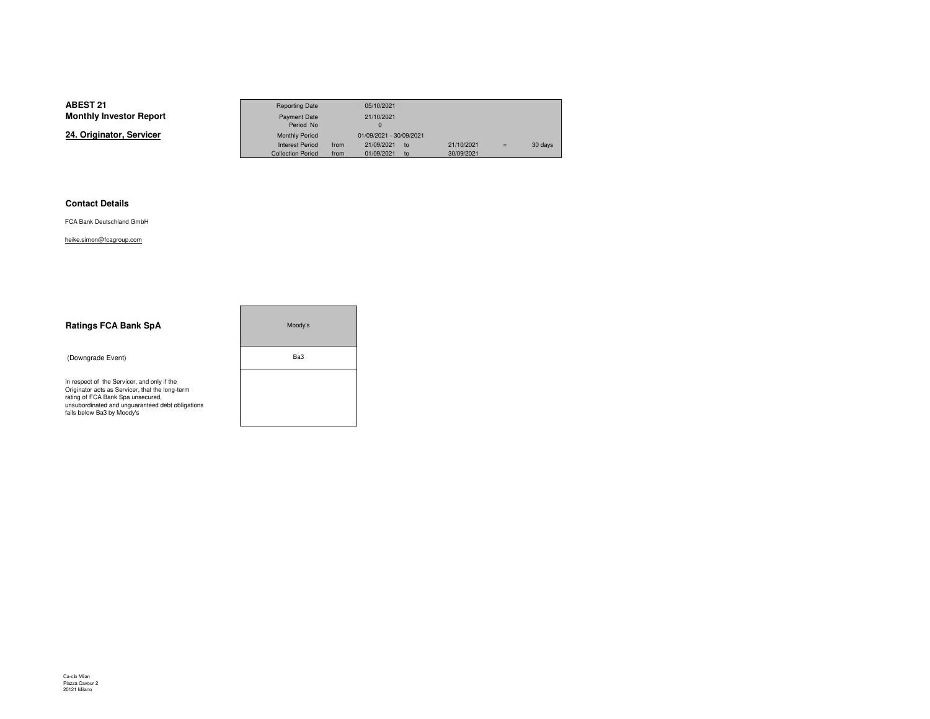**24. Originator, Servicer**

|                 | <b>Reporting Date</b>    |      | 05/10/2021                    |            |     |         |
|-----------------|--------------------------|------|-------------------------------|------------|-----|---------|
| Investor Report | Payment Date             |      | 21/10/2021                    |            |     |         |
|                 | Period No                |      |                               |            |     |         |
| าator. Servicer | <b>Monthly Period</b>    |      | 01/09/2021 - 30/09/2021       |            |     |         |
|                 | <b>Interest Period</b>   | from | 21/09/2021<br>10 <sub>o</sub> | 21/10/2021 | $=$ | 30 days |
|                 | <b>Collection Period</b> | from | 01/09/2021<br>to              | 30/09/2021 |     |         |

۰

#### **Contact Details**

FCA Bank Deutschland GmbH

heike.simon@fcagroup.com

| <b>Ratings FCA Bank SpA</b>                                                                                                                                                                                           | Moody's |  |  |  |
|-----------------------------------------------------------------------------------------------------------------------------------------------------------------------------------------------------------------------|---------|--|--|--|
| (Downgrade Event)                                                                                                                                                                                                     | Ba3     |  |  |  |
| In respect of the Servicer, and only if the<br>Originator acts as Servicer, that the long-term<br>rating of FCA Bank Spa unsecured,<br>unsubordinated and unquaranteed debt obligations<br>falls below Ba3 by Moody's |         |  |  |  |